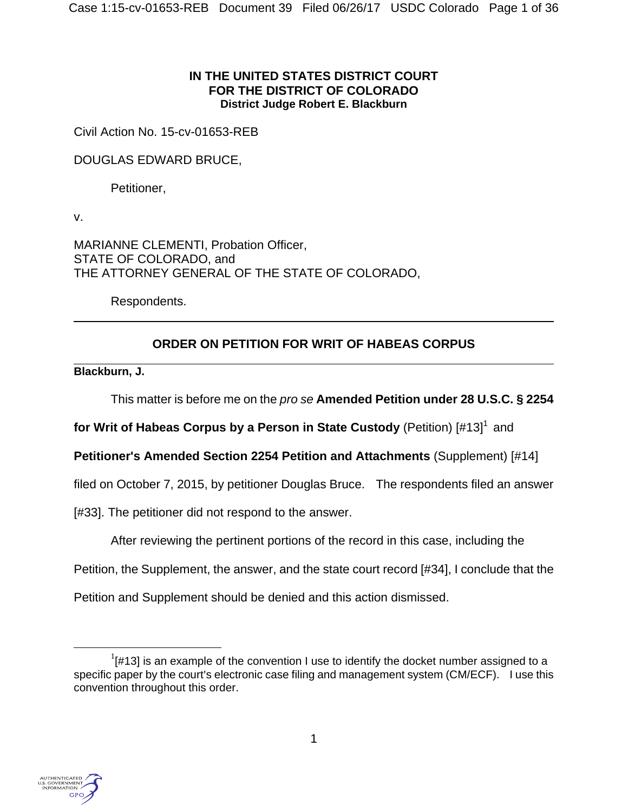### **IN THE UNITED STATES DISTRICT COURT FOR THE DISTRICT OF COLORADO District Judge Robert E. Blackburn**

Civil Action No. 15-cv-01653-REB

DOUGLAS EDWARD BRUCE,

Petitioner,

v.

 $\overline{a}$ 

MARIANNE CLEMENTI, Probation Officer, STATE OF COLORADO, and THE ATTORNEY GENERAL OF THE STATE OF COLORADO,

Respondents.

# **ORDER ON PETITION FOR WRIT OF HABEAS CORPUS**

 $\overline{a}$ **Blackburn, J.**

This matter is before me on the *pro se* **Amended Petition under 28 U.S.C. § 2254** 

**for Writ of Habeas Corpus by a Person in State Custody** (Petition) [#13]<sup>1</sup> and

**Petitioner's Amended Section 2254 Petition and Attachments** (Supplement) [#14]

filed on October 7, 2015, by petitioner Douglas Bruce. The respondents filed an answer

[#33]. The petitioner did not respond to the answer.

After reviewing the pertinent portions of the record in this case, including the

Petition, the Supplement, the answer, and the state court record [#34], I conclude that the

Petition and Supplement should be denied and this action dismissed.



<sup>&</sup>lt;u>1</u>  $\frac{1}{4}$  = 1  $\mu$  13] is an example of the convention I use to identify the docket number assigned to a specific paper by the court's electronic case filing and management system (CM/ECF). I use this convention throughout this order.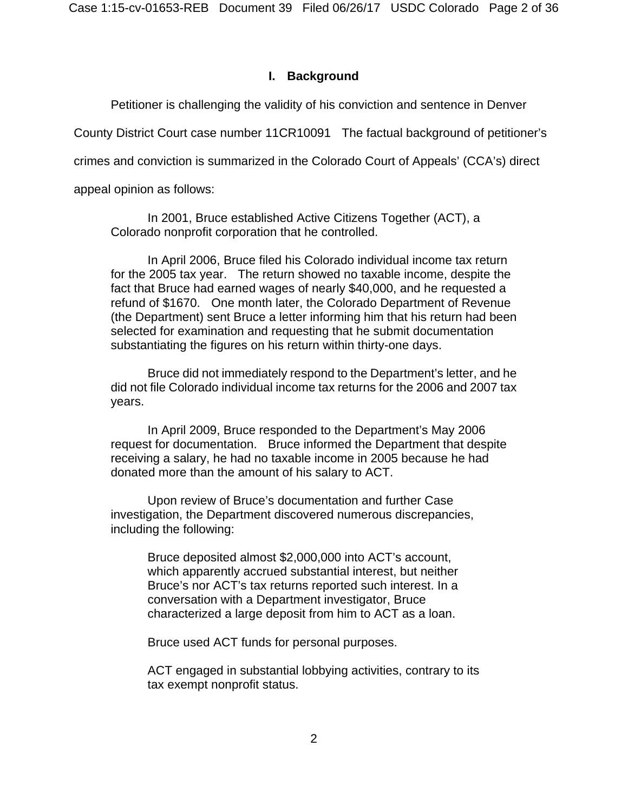### **I. Background**

Petitioner is challenging the validity of his conviction and sentence in Denver

County District Court case number 11CR10091 The factual background of petitioner's

crimes and conviction is summarized in the Colorado Court of Appeals' (CCA's) direct

appeal opinion as follows:

In 2001, Bruce established Active Citizens Together (ACT), a Colorado nonprofit corporation that he controlled.

In April 2006, Bruce filed his Colorado individual income tax return for the 2005 tax year. The return showed no taxable income, despite the fact that Bruce had earned wages of nearly \$40,000, and he requested a refund of \$1670. One month later, the Colorado Department of Revenue (the Department) sent Bruce a letter informing him that his return had been selected for examination and requesting that he submit documentation substantiating the figures on his return within thirty-one days.

Bruce did not immediately respond to the Department's letter, and he did not file Colorado individual income tax returns for the 2006 and 2007 tax years.

In April 2009, Bruce responded to the Department's May 2006 request for documentation. Bruce informed the Department that despite receiving a salary, he had no taxable income in 2005 because he had donated more than the amount of his salary to ACT.

 Upon review of Bruce's documentation and further Case investigation, the Department discovered numerous discrepancies, including the following:

> Bruce deposited almost \$2,000,000 into ACT's account, which apparently accrued substantial interest, but neither Bruce's nor ACT's tax returns reported such interest. In a conversation with a Department investigator, Bruce characterized a large deposit from him to ACT as a loan.

Bruce used ACT funds for personal purposes.

ACT engaged in substantial lobbying activities, contrary to its tax exempt nonprofit status.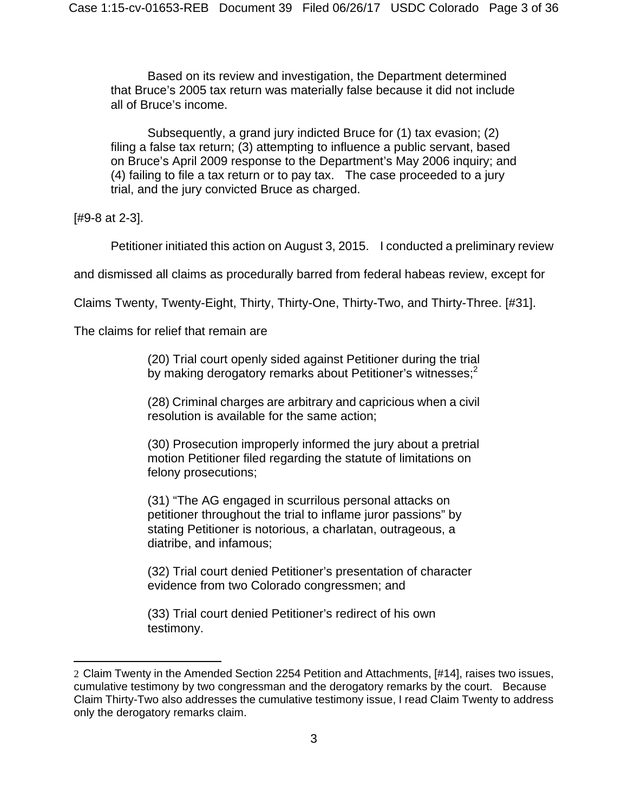Based on its review and investigation, the Department determined that Bruce's 2005 tax return was materially false because it did not include all of Bruce's income.

Subsequently, a grand jury indicted Bruce for (1) tax evasion; (2) filing a false tax return; (3) attempting to influence a public servant, based on Bruce's April 2009 response to the Department's May 2006 inquiry; and (4) failing to file a tax return or to pay tax. The case proceeded to a jury trial, and the jury convicted Bruce as charged.

[#9-8 at 2-3].

1

Petitioner initiated this action on August 3, 2015. I conducted a preliminary review

and dismissed all claims as procedurally barred from federal habeas review, except for

Claims Twenty, Twenty-Eight, Thirty, Thirty-One, Thirty-Two, and Thirty-Three. [#31].

The claims for relief that remain are

(20) Trial court openly sided against Petitioner during the trial by making derogatory remarks about Petitioner's witnesses;<sup>2</sup>

(28) Criminal charges are arbitrary and capricious when a civil resolution is available for the same action;

(30) Prosecution improperly informed the jury about a pretrial motion Petitioner filed regarding the statute of limitations on felony prosecutions;

(31) "The AG engaged in scurrilous personal attacks on petitioner throughout the trial to inflame juror passions" by stating Petitioner is notorious, a charlatan, outrageous, a diatribe, and infamous;

(32) Trial court denied Petitioner's presentation of character evidence from two Colorado congressmen; and

(33) Trial court denied Petitioner's redirect of his own testimony.

<sup>2</sup> Claim Twenty in the Amended Section 2254 Petition and Attachments, [#14], raises two issues, cumulative testimony by two congressman and the derogatory remarks by the court. Because Claim Thirty-Two also addresses the cumulative testimony issue, I read Claim Twenty to address only the derogatory remarks claim.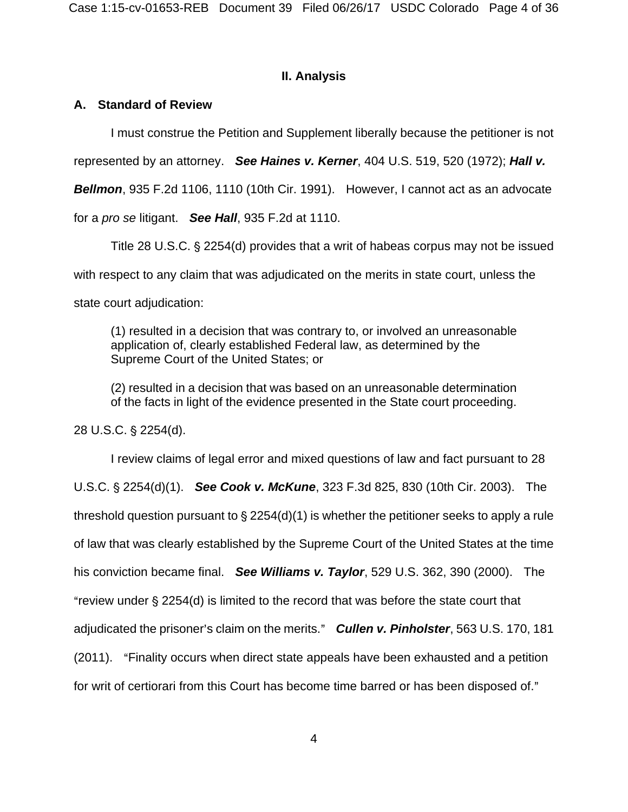### **II. Analysis**

# **A. Standard of Review**

I must construe the Petition and Supplement liberally because the petitioner is not

represented by an attorney. *See Haines v. Kerner*, 404 U.S. 519, 520 (1972); *Hall v.* 

*Bellmon*, 935 F.2d 1106, 1110 (10th Cir. 1991). However, I cannot act as an advocate

for a *pro se* litigant. *See Hall*, 935 F.2d at 1110.

Title 28 U.S.C. § 2254(d) provides that a writ of habeas corpus may not be issued with respect to any claim that was adjudicated on the merits in state court, unless the state court adjudication:

(1) resulted in a decision that was contrary to, or involved an unreasonable application of, clearly established Federal law, as determined by the Supreme Court of the United States; or

(2) resulted in a decision that was based on an unreasonable determination of the facts in light of the evidence presented in the State court proceeding.

28 U.S.C. § 2254(d).

I review claims of legal error and mixed questions of law and fact pursuant to 28 U.S.C. § 2254(d)(1). **See Cook v. McKune**, 323 F.3d 825, 830 (10th Cir. 2003). The threshold question pursuant to  $\S 2254(d)(1)$  is whether the petitioner seeks to apply a rule of law that was clearly established by the Supreme Court of the United States at the time his conviction became final. *See Williams v. Taylor*, 529 U.S. 362, 390 (2000). The "review under  $\S 2254(d)$  is limited to the record that was before the state court that adjudicated the prisoner's claim on the merits." **Cullen v. Pinholster**, 563 U.S. 170, 181 (2011). "Finality occurs when direct state appeals have been exhausted and a petition for writ of certiorari from this Court has become time barred or has been disposed of."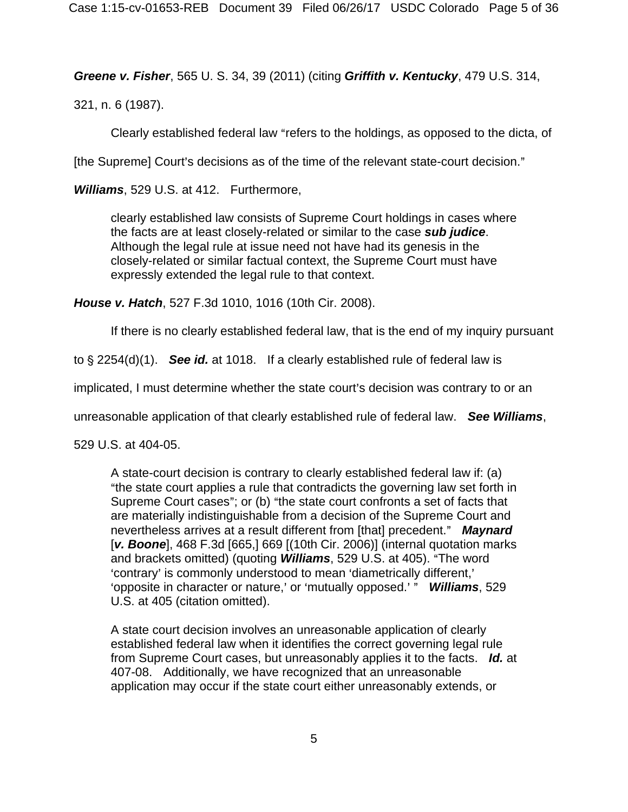*Greene v. Fisher*, 565 U. S. 34, 39 (2011) (citing *Griffith v. Kentucky*, 479 U.S. 314,

321, n. 6 (1987).

Clearly established federal law "refers to the holdings, as opposed to the dicta, of

[the Supreme] Court's decisions as of the time of the relevant state-court decision."

*Williams*, 529 U.S. at 412. Furthermore,

clearly established law consists of Supreme Court holdings in cases where the facts are at least closely-related or similar to the case *sub judice*. Although the legal rule at issue need not have had its genesis in the closely-related or similar factual context, the Supreme Court must have expressly extended the legal rule to that context.

*House v. Hatch*, 527 F.3d 1010, 1016 (10th Cir. 2008).

If there is no clearly established federal law, that is the end of my inquiry pursuant

to  $\S 2254(d)(1)$ . **See id.** at 1018. If a clearly established rule of federal law is

implicated, I must determine whether the state court's decision was contrary to or an

unreasonable application of that clearly established rule of federal law. *See Williams*,

529 U.S. at 404-05.

A state-court decision is contrary to clearly established federal law if: (a) "the state court applies a rule that contradicts the governing law set forth in Supreme Court cases"; or (b) "the state court confronts a set of facts that are materially indistinguishable from a decision of the Supreme Court and nevertheless arrives at a result different from [that] precedent." Maynard [*v. Boone*], 468 F.3d [665,] 669 [(10th Cir. 2006)] (internal quotation marks and brackets omitted) (quoting **Williams**, 529 U.S. at 405). "The word 'contrary' is commonly understood to mean 'diametrically different,' >opposite in character or nature,= or >mutually opposed.= @ *Williams*, 529 U.S. at 405 (citation omitted).

A state court decision involves an unreasonable application of clearly established federal law when it identifies the correct governing legal rule from Supreme Court cases, but unreasonably applies it to the facts. *Id.* at 407-08. Additionally, we have recognized that an unreasonable application may occur if the state court either unreasonably extends, or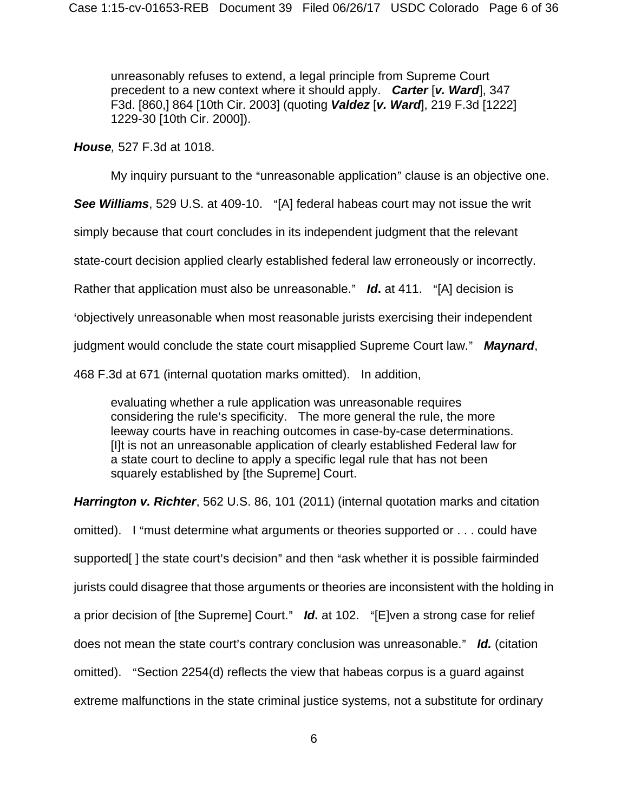unreasonably refuses to extend, a legal principle from Supreme Court precedent to a new context where it should apply. *Carter* [*v. Ward*], 347 F3d. [860,] 864 [10th Cir. 2003] (quoting *Valdez* [*v. Ward*], 219 F.3d [1222] 1229-30 [10th Cir. 2000]).

*House,* 527 F.3d at 1018.

My inquiry pursuant to the "unreasonable application" clause is an objective one.

**See Williams**, 529 U.S. at 409-10. "[A] federal habeas court may not issue the writ

simply because that court concludes in its independent judgment that the relevant

state-court decision applied clearly established federal law erroneously or incorrectly.

Rather that application must also be unreasonable." **Id.** at 411. "[A] decision is

>objectively unreasonable when most reasonable jurists exercising their independent

judgment would conclude the state court misapplied Supreme Court law." **Maynard**,

468 F.3d at 671 (internal quotation marks omitted). In addition,

evaluating whether a rule application was unreasonable requires considering the rule's specificity. The more general the rule, the more leeway courts have in reaching outcomes in case-by-case determinations. [I]t is not an unreasonable application of clearly established Federal law for a state court to decline to apply a specific legal rule that has not been squarely established by [the Supreme] Court.

*Harrington v. Richter*, 562 U.S. 86, 101 (2011) (internal quotation marks and citation omitted). I "must determine what arguments or theories supported or . . . could have supported[] the state court's decision" and then "ask whether it is possible fairminded jurists could disagree that those arguments or theories are inconsistent with the holding in a prior decision of [the Supreme] Court." **Id.** at 102. "[E]ven a strong case for relief does not mean the state court's contrary conclusion was unreasonable." **Id.** (citation omitted). "Section 2254(d) reflects the view that habeas corpus is a guard against extreme malfunctions in the state criminal justice systems, not a substitute for ordinary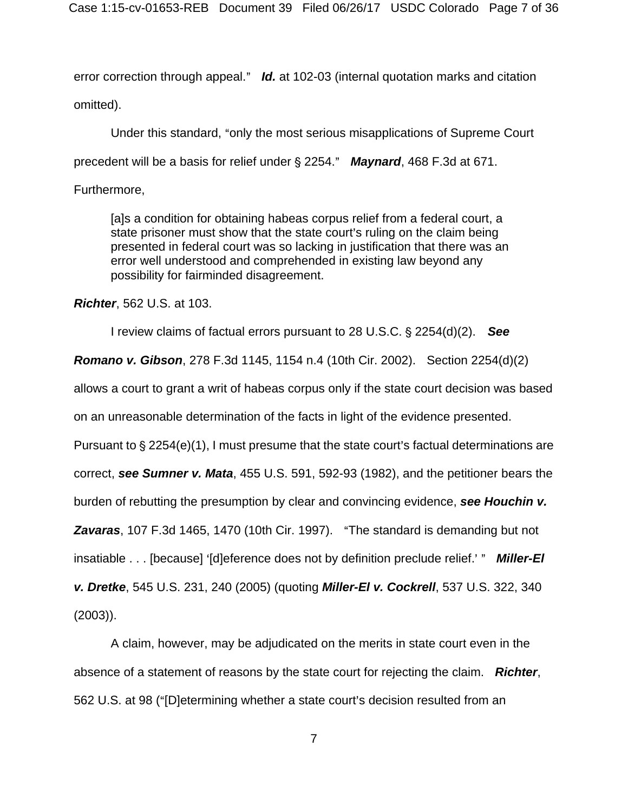error correction through appeal." *Id.* at 102-03 (internal quotation marks and citation omitted).

Under this standard, "only the most serious misapplications of Supreme Court precedent will be a basis for relief under § 2254." Maynard, 468 F.3d at 671.

Furthermore,

[a]s a condition for obtaining habeas corpus relief from a federal court, a state prisoner must show that the state court's ruling on the claim being presented in federal court was so lacking in justification that there was an error well understood and comprehended in existing law beyond any possibility for fairminded disagreement.

*Richter*, 562 U.S. at 103.

I review claims of factual errors pursuant to 28 U.S.C. § 2254(d)(2). See

*Romano v. Gibson*, 278 F.3d 1145, 1154 n.4 (10th Cir. 2002). Section 2254(d)(2)

allows a court to grant a writ of habeas corpus only if the state court decision was based

on an unreasonable determination of the facts in light of the evidence presented.

Pursuant to  $\S 2254(e)(1)$ , I must presume that the state court's factual determinations are

correct, *see Sumner v. Mata*, 455 U.S. 591, 592-93 (1982), and the petitioner bears the

burden of rebutting the presumption by clear and convincing evidence, *see Houchin v.* 

**Zavaras**, 107 F.3d 1465, 1470 (10th Cir. 1997). "The standard is demanding but not

insatiable . . . [because] '[d]eference does not by definition preclude relief.' " **Miller-El** 

*v. Dretke*, 545 U.S. 231, 240 (2005) (quoting *Miller-El v. Cockrell*, 537 U.S. 322, 340

(2003)).

A claim, however, may be adjudicated on the merits in state court even in the absence of a statement of reasons by the state court for rejecting the claim. *Richter*, 562 U.S. at 98 ("[D]etermining whether a state court's decision resulted from an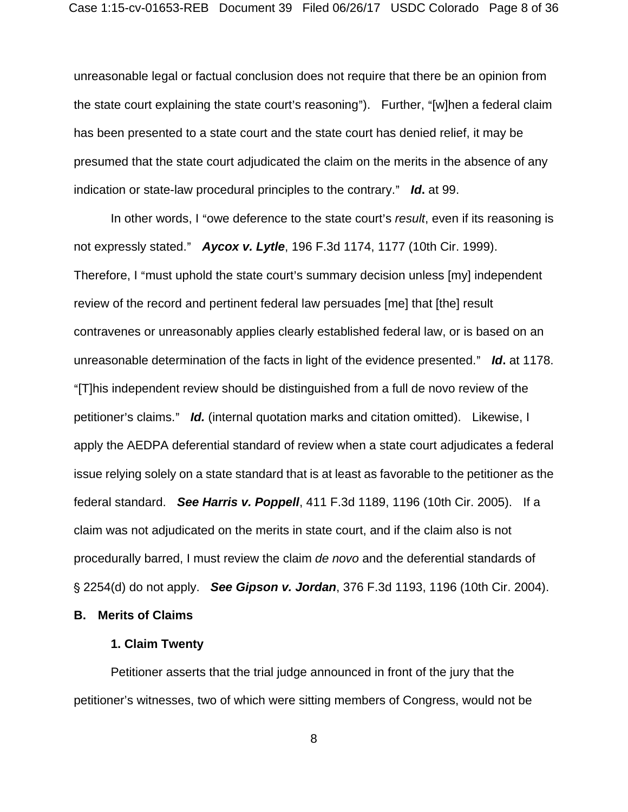unreasonable legal or factual conclusion does not require that there be an opinion from the state court explaining the state court's reasoning". Further, "[w]hen a federal claim has been presented to a state court and the state court has denied relief, it may be presumed that the state court adjudicated the claim on the merits in the absence of any indication or state-law procedural principles to the contrary." Id. at 99.

In other words, I "owe deference to the state court's *result*, even if its reasoning is not expressly stated." **Aycox v. Lytle**, 196 F.3d 1174, 1177 (10th Cir. 1999). Therefore, I "must uphold the state court's summary decision unless [my] independent review of the record and pertinent federal law persuades [me] that [the] result contravenes or unreasonably applies clearly established federal law, or is based on an unreasonable determination of the facts in light of the evidence presented." Id. at 1178. "[T]his independent review should be distinguished from a full de novo review of the petitioner's claims." *Id.* (internal quotation marks and citation omitted). Likewise, I apply the AEDPA deferential standard of review when a state court adjudicates a federal issue relying solely on a state standard that is at least as favorable to the petitioner as the federal standard. *See Harris v. Poppell*, 411 F.3d 1189, 1196 (10th Cir. 2005). If a claim was not adjudicated on the merits in state court, and if the claim also is not procedurally barred, I must review the claim *de novo* and the deferential standards of ' 2254(d) do not apply. *See Gipson v. Jordan*, 376 F.3d 1193, 1196 (10th Cir. 2004).

**B. Merits of Claims** 

### **1. Claim Twenty**

 Petitioner asserts that the trial judge announced in front of the jury that the petitioner's witnesses, two of which were sitting members of Congress, would not be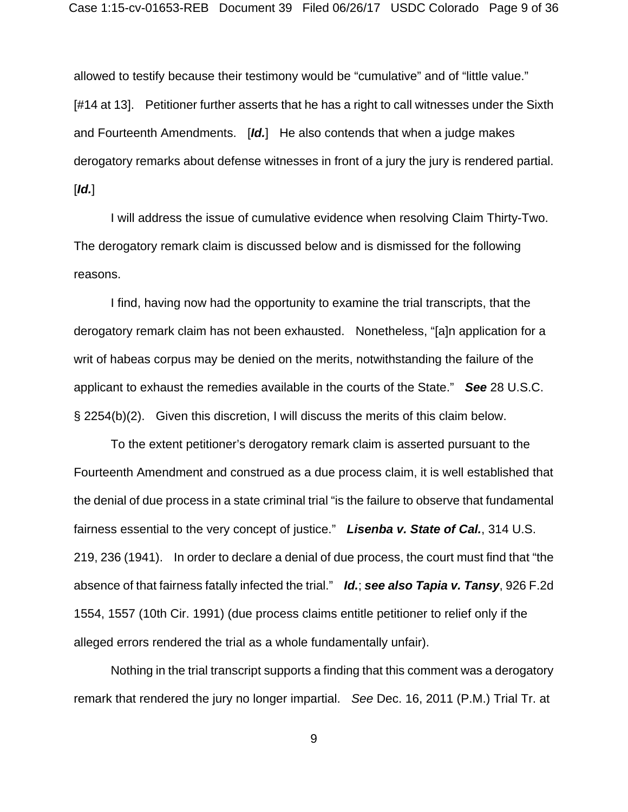allowed to testify because their testimony would be "cumulative" and of "little value." [#14 at 13]. Petitioner further asserts that he has a right to call witnesses under the Sixth and Fourteenth Amendments. [*Id.*] He also contends that when a judge makes derogatory remarks about defense witnesses in front of a jury the jury is rendered partial. [*Id.*]

I will address the issue of cumulative evidence when resolving Claim Thirty-Two. The derogatory remark claim is discussed below and is dismissed for the following reasons.

 I find, having now had the opportunity to examine the trial transcripts, that the derogatory remark claim has not been exhausted. Nonetheless, "[a]n application for a writ of habeas corpus may be denied on the merits, notwithstanding the failure of the applicant to exhaust the remedies available in the courts of the State." *See* 28 U.S.C. § 2254(b)(2). Given this discretion, I will discuss the merits of this claim below.

 To the extent petitioner's derogatory remark claim is asserted pursuant to the Fourteenth Amendment and construed as a due process claim, it is well established that the denial of due process in a state criminal trial "is the failure to observe that fundamental fairness essential to the very concept of justice." *Lisenba v. State of Cal.*, 314 U.S. 219, 236 (1941). In order to declare a denial of due process, the court must find that "the absence of that fairness fatally infected the trial." *Id.*; *see also Tapia v. Tansy*, 926 F.2d 1554, 1557 (10th Cir. 1991) (due process claims entitle petitioner to relief only if the alleged errors rendered the trial as a whole fundamentally unfair).

 Nothing in the trial transcript supports a finding that this comment was a derogatory remark that rendered the jury no longer impartial. *See* Dec. 16, 2011 (P.M.) Trial Tr. at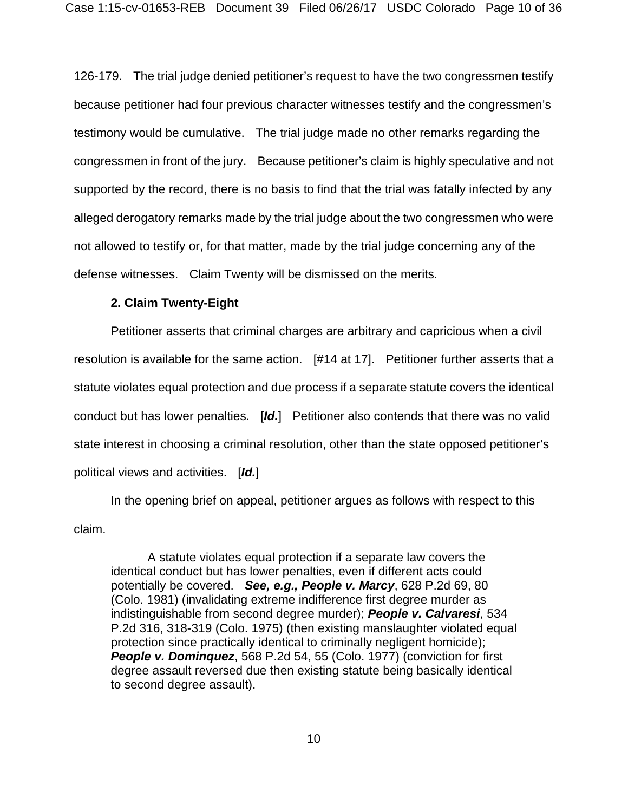126-179. The trial judge denied petitioner's request to have the two congressmen testify because petitioner had four previous character witnesses testify and the congressmen's testimony would be cumulative. The trial judge made no other remarks regarding the congressmen in front of the jury. Because petitioner's claim is highly speculative and not supported by the record, there is no basis to find that the trial was fatally infected by any alleged derogatory remarks made by the trial judge about the two congressmen who were not allowed to testify or, for that matter, made by the trial judge concerning any of the defense witnesses. Claim Twenty will be dismissed on the merits.

### **2. Claim Twenty-Eight**

 Petitioner asserts that criminal charges are arbitrary and capricious when a civil resolution is available for the same action. [#14 at 17]. Petitioner further asserts that a statute violates equal protection and due process if a separate statute covers the identical conduct but has lower penalties. [*Id.*] Petitioner also contends that there was no valid state interest in choosing a criminal resolution, other than the state opposed petitioner's political views and activities. [*Id.*]

 In the opening brief on appeal, petitioner argues as follows with respect to this claim.

 A statute violates equal protection if a separate law covers the identical conduct but has lower penalties, even if different acts could potentially be covered. *See, e.g., People v. Marcy*, 628 P.2d 69, 80 (Colo. 1981) (invalidating extreme indifference first degree murder as indistinguishable from second degree murder); *People v. Calvaresi*, 534 P.2d 316, 318-319 (Colo. 1975) (then existing manslaughter violated equal protection since practically identical to criminally negligent homicide); *People v. Dominquez*, 568 P.2d 54, 55 (Colo. 1977) (conviction for first degree assault reversed due then existing statute being basically identical to second degree assault).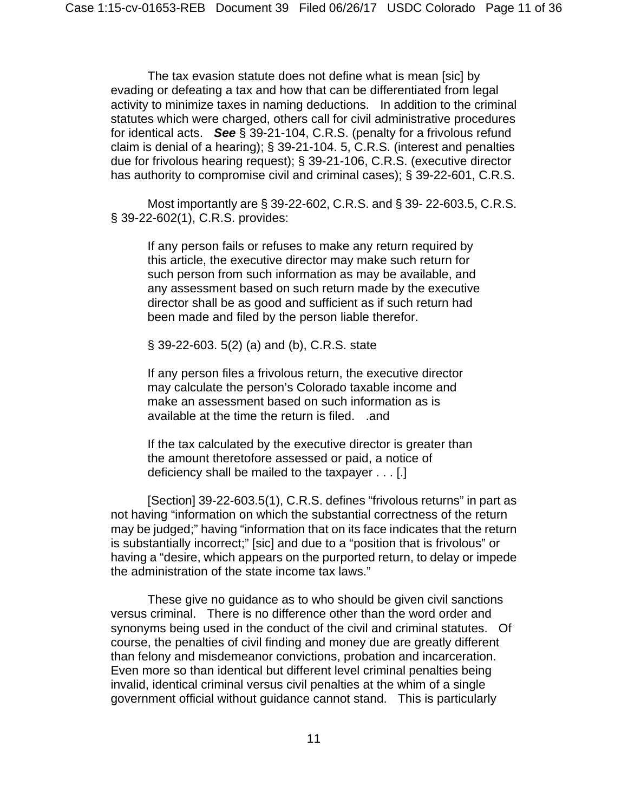The tax evasion statute does not define what is mean [sic] by evading or defeating a tax and how that can be differentiated from legal activity to minimize taxes in naming deductions. In addition to the criminal statutes which were charged, others call for civil administrative procedures for identical acts. *See* § 39-21-104, C.R.S. (penalty for a frivolous refund claim is denial of a hearing); § 39-21-104. 5, C.R.S. (interest and penalties due for frivolous hearing request); § 39-21-106, C.R.S. (executive director has authority to compromise civil and criminal cases); § 39-22-601, C.R.S.

 Most importantly are § 39-22-602, C.R.S. and § 39- 22-603.5, C.R.S. § 39-22-602(1), C.R.S. provides:

If any person fails or refuses to make any return required by this article, the executive director may make such return for such person from such information as may be available, and any assessment based on such return made by the executive director shall be as good and sufficient as if such return had been made and filed by the person liable therefor.

§ 39-22-603. 5(2) (a) and (b), C.R.S. state

If any person files a frivolous return, the executive director may calculate the person's Colorado taxable income and make an assessment based on such information as is available at the time the return is filed. .and

If the tax calculated by the executive director is greater than the amount theretofore assessed or paid, a notice of deficiency shall be mailed to the taxpayer . . . [.]

 [Section] 39-22-603.5(1), C.R.S. defines "frivolous returns" in part as not having "information on which the substantial correctness of the return may be judged;" having "information that on its face indicates that the return is substantially incorrect;" [sic] and due to a "position that is frivolous" or having a "desire, which appears on the purported return, to delay or impede the administration of the state income tax laws."

 These give no guidance as to who should be given civil sanctions versus criminal. There is no difference other than the word order and synonyms being used in the conduct of the civil and criminal statutes. Of course, the penalties of civil finding and money due are greatly different than felony and misdemeanor convictions, probation and incarceration. Even more so than identical but different level criminal penalties being invalid, identical criminal versus civil penalties at the whim of a single government official without guidance cannot stand. This is particularly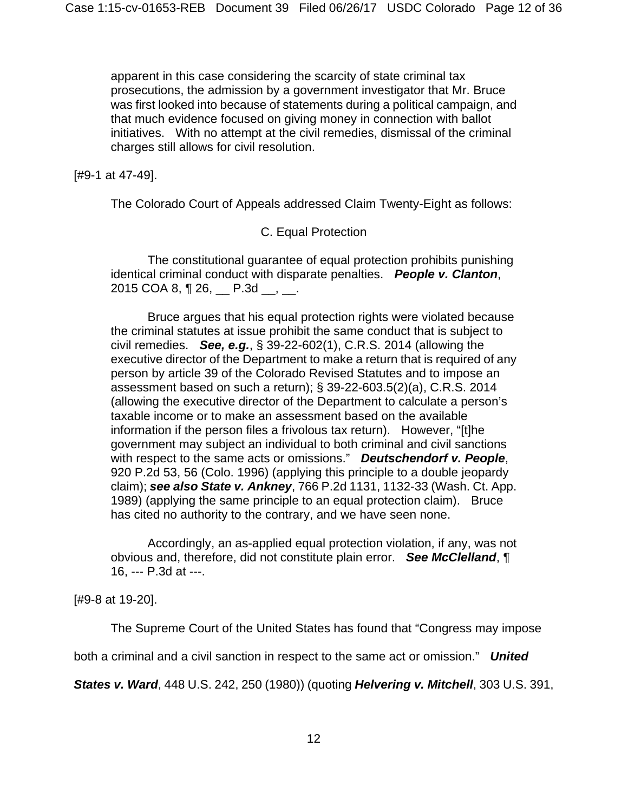apparent in this case considering the scarcity of state criminal tax prosecutions, the admission by a government investigator that Mr. Bruce was first looked into because of statements during a political campaign, and that much evidence focused on giving money in connection with ballot initiatives. With no attempt at the civil remedies, dismissal of the criminal charges still allows for civil resolution.

### [#9-1 at 47-49].

The Colorado Court of Appeals addressed Claim Twenty-Eight as follows:

# C. Equal Protection

 The constitutional guarantee of equal protection prohibits punishing identical criminal conduct with disparate penalties. *People v. Clanton*, 2015 COA 8, ¶ 26, P.3d , .

 Bruce argues that his equal protection rights were violated because the criminal statutes at issue prohibit the same conduct that is subject to civil remedies. *See, e.g.*, § 39-22-602(1), C.R.S. 2014 (allowing the executive director of the Department to make a return that is required of any person by article 39 of the Colorado Revised Statutes and to impose an assessment based on such a return); § 39-22-603.5(2)(a), C.R.S. 2014 (allowing the executive director of the Department to calculate a person's taxable income or to make an assessment based on the available information if the person files a frivolous tax return). However, "[t]he government may subject an individual to both criminal and civil sanctions with respect to the same acts or omissions." *Deutschendorf v. People*, 920 P.2d 53, 56 (Colo. 1996) (applying this principle to a double jeopardy claim); *see also State v. Ankney*, 766 P.2d 1131, 1132-33 (Wash. Ct. App. 1989) (applying the same principle to an equal protection claim). Bruce has cited no authority to the contrary, and we have seen none.

 Accordingly, an as-applied equal protection violation, if any, was not obvious and, therefore, did not constitute plain error. *See McClelland*, ¶ 16, --- P.3d at ---.

[#9-8 at 19-20].

The Supreme Court of the United States has found that "Congress may impose

both a criminal and a civil sanction in respect to the same act or omission." *United* 

*States v. Ward*, 448 U.S. 242, 250 (1980)) (quoting *Helvering v. Mitchell*, 303 U.S. 391,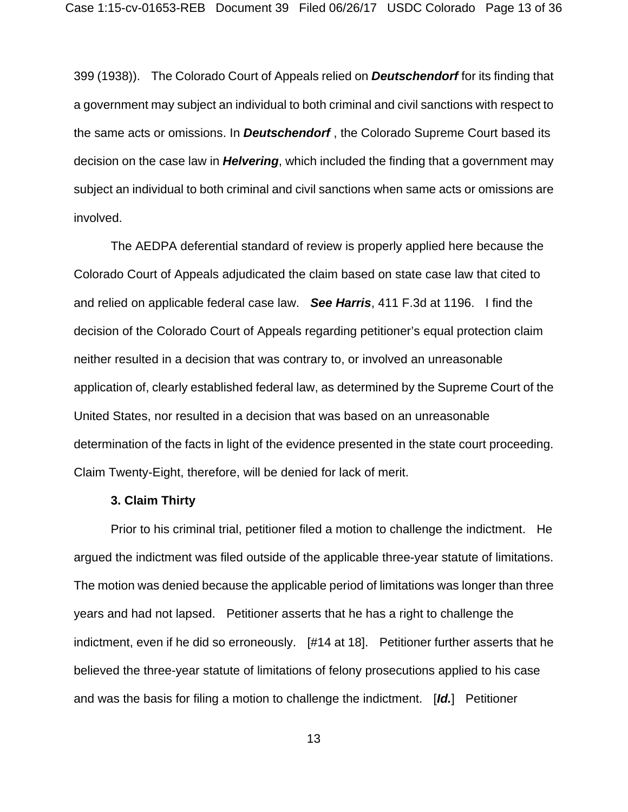399 (1938)). The Colorado Court of Appeals relied on *Deutschendorf* for its finding that a government may subject an individual to both criminal and civil sanctions with respect to the same acts or omissions. In *Deutschendorf* , the Colorado Supreme Court based its decision on the case law in *Helvering*, which included the finding that a government may subject an individual to both criminal and civil sanctions when same acts or omissions are involved.

 The AEDPA deferential standard of review is properly applied here because the Colorado Court of Appeals adjudicated the claim based on state case law that cited to and relied on applicable federal case law. *See Harris*, 411 F.3d at 1196. I find the decision of the Colorado Court of Appeals regarding petitioner's equal protection claim neither resulted in a decision that was contrary to, or involved an unreasonable application of, clearly established federal law, as determined by the Supreme Court of the United States, nor resulted in a decision that was based on an unreasonable determination of the facts in light of the evidence presented in the state court proceeding. Claim Twenty-Eight, therefore, will be denied for lack of merit.

### **3. Claim Thirty**

 Prior to his criminal trial, petitioner filed a motion to challenge the indictment. He argued the indictment was filed outside of the applicable three-year statute of limitations. The motion was denied because the applicable period of limitations was longer than three years and had not lapsed. Petitioner asserts that he has a right to challenge the indictment, even if he did so erroneously. [#14 at 18]. Petitioner further asserts that he believed the three-year statute of limitations of felony prosecutions applied to his case and was the basis for filing a motion to challenge the indictment. [*Id.*] Petitioner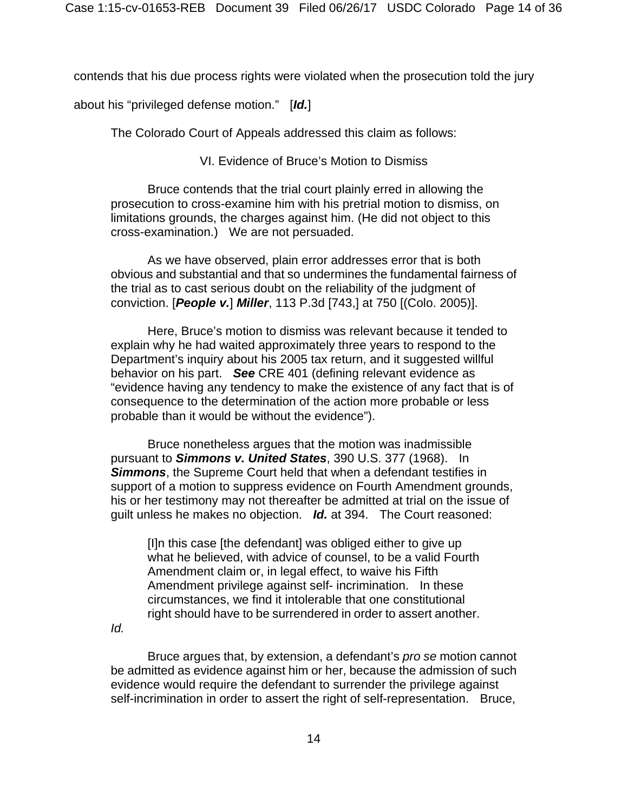contends that his due process rights were violated when the prosecution told the jury

about his "privileged defense motion." [*Id.*]

The Colorado Court of Appeals addressed this claim as follows:

VI. Evidence of Bruce's Motion to Dismiss

 Bruce contends that the trial court plainly erred in allowing the prosecution to cross-examine him with his pretrial motion to dismiss, on limitations grounds, the charges against him. (He did not object to this cross-examination.) We are not persuaded.

 As we have observed, plain error addresses error that is both obvious and substantial and that so undermines the fundamental fairness of the trial as to cast serious doubt on the reliability of the judgment of conviction. [*People v.*] *Miller*, 113 P.3d [743,] at 750 [(Colo. 2005)].

 Here, Bruce's motion to dismiss was relevant because it tended to explain why he had waited approximately three years to respond to the Department's inquiry about his 2005 tax return, and it suggested willful behavior on his part. *See* CRE 401 (defining relevant evidence as "evidence having any tendency to make the existence of any fact that is of consequence to the determination of the action more probable or less probable than it would be without the evidence").

 Bruce nonetheless argues that the motion was inadmissible pursuant to *Simmons v. United States*, 390 U.S. 377 (1968). In *Simmons*, the Supreme Court held that when a defendant testifies in support of a motion to suppress evidence on Fourth Amendment grounds, his or her testimony may not thereafter be admitted at trial on the issue of guilt unless he makes no objection. *Id.* at 394. The Court reasoned:

[I]n this case [the defendant] was obliged either to give up what he believed, with advice of counsel, to be a valid Fourth Amendment claim or, in legal effect, to waive his Fifth Amendment privilege against self- incrimination. In these circumstances, we find it intolerable that one constitutional right should have to be surrendered in order to assert another.

*Id.* 

 Bruce argues that, by extension, a defendant's *pro se* motion cannot be admitted as evidence against him or her, because the admission of such evidence would require the defendant to surrender the privilege against self-incrimination in order to assert the right of self-representation. Bruce,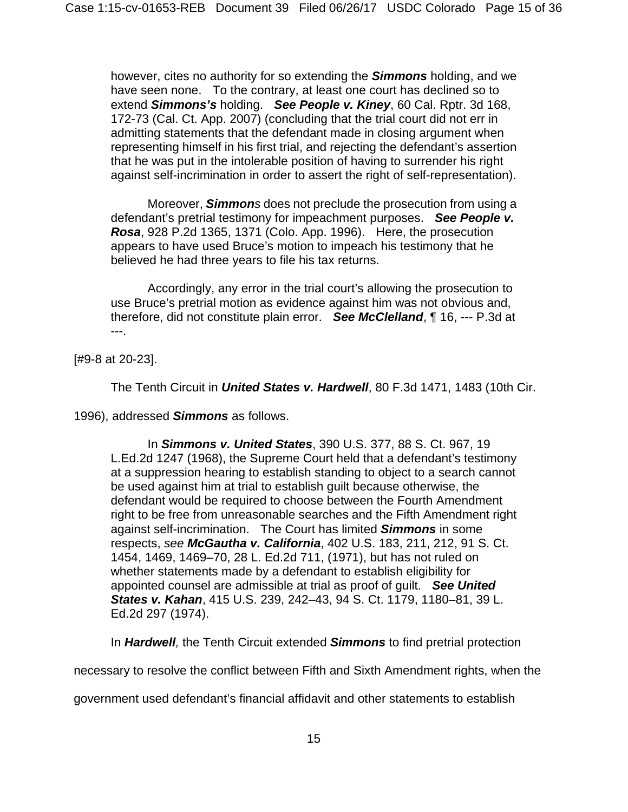however, cites no authority for so extending the *Simmons* holding, and we have seen none. To the contrary, at least one court has declined so to extend *Simmons's* holding. *See People v. Kiney*, 60 Cal. Rptr. 3d 168, 172-73 (Cal. Ct. App. 2007) (concluding that the trial court did not err in admitting statements that the defendant made in closing argument when representing himself in his first trial, and rejecting the defendant's assertion that he was put in the intolerable position of having to surrender his right against self-incrimination in order to assert the right of self-representation).

 Moreover, *Simmons* does not preclude the prosecution from using a defendant's pretrial testimony for impeachment purposes. *See People v. Rosa*, 928 P.2d 1365, 1371 (Colo. App. 1996). Here, the prosecution appears to have used Bruce's motion to impeach his testimony that he believed he had three years to file his tax returns.

 Accordingly, any error in the trial court's allowing the prosecution to use Bruce's pretrial motion as evidence against him was not obvious and, therefore, did not constitute plain error. *See McClelland*, ¶ 16, --- P.3d at ---.

[#9-8 at 20-23].

The Tenth Circuit in *United States v. Hardwell*, 80 F.3d 1471, 1483 (10th Cir.

1996), addressed *Simmons* as follows.

 In *Simmons v. United States*, 390 U.S. 377, 88 S. Ct. 967, 19 L.Ed.2d 1247 (1968), the Supreme Court held that a defendant's testimony at a suppression hearing to establish standing to object to a search cannot be used against him at trial to establish guilt because otherwise, the defendant would be required to choose between the Fourth Amendment right to be free from unreasonable searches and the Fifth Amendment right against self-incrimination. The Court has limited *Simmons* in some respects, *see McGautha v. California*, 402 U.S. 183, 211, 212, 91 S. Ct. 1454, 1469, 1469–70, 28 L. Ed.2d 711, (1971), but has not ruled on whether statements made by a defendant to establish eligibility for appointed counsel are admissible at trial as proof of guilt. *See United States v. Kahan*, 415 U.S. 239, 242–43, 94 S. Ct. 1179, 1180–81, 39 L. Ed.2d 297 (1974).

In *Hardwell,* the Tenth Circuit extended *Simmons* to find pretrial protection

necessary to resolve the conflict between Fifth and Sixth Amendment rights, when the

government used defendant's financial affidavit and other statements to establish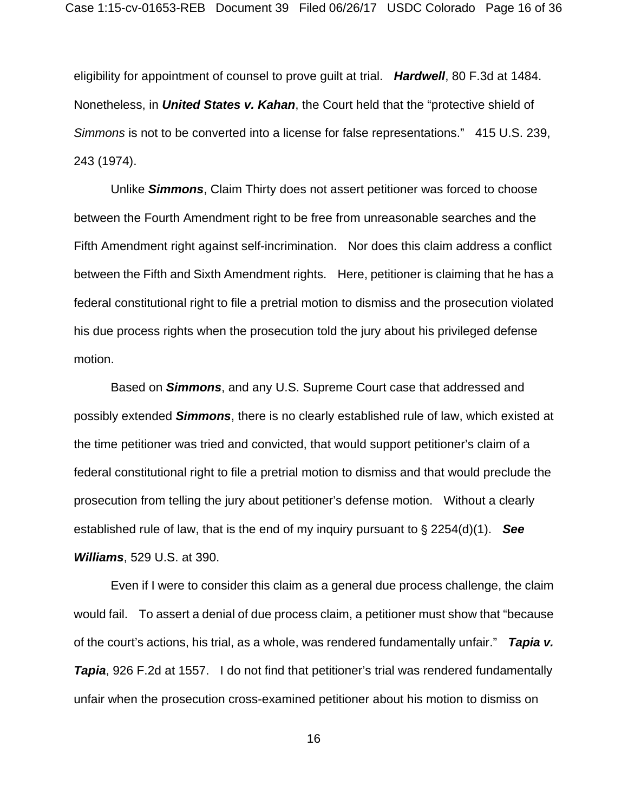eligibility for appointment of counsel to prove guilt at trial. *Hardwell*, 80 F.3d at 1484. Nonetheless, in *United States v. Kahan*, the Court held that the "protective shield of *Simmons* is not to be converted into a license for false representations." 415 U.S. 239, 243 (1974).

 Unlike *Simmons*, Claim Thirty does not assert petitioner was forced to choose between the Fourth Amendment right to be free from unreasonable searches and the Fifth Amendment right against self-incrimination. Nor does this claim address a conflict between the Fifth and Sixth Amendment rights. Here, petitioner is claiming that he has a federal constitutional right to file a pretrial motion to dismiss and the prosecution violated his due process rights when the prosecution told the jury about his privileged defense motion.

 Based on *Simmons*, and any U.S. Supreme Court case that addressed and possibly extended *Simmons*, there is no clearly established rule of law, which existed at the time petitioner was tried and convicted, that would support petitioner's claim of a federal constitutional right to file a pretrial motion to dismiss and that would preclude the prosecution from telling the jury about petitioner's defense motion. Without a clearly established rule of law, that is the end of my inquiry pursuant to  $\S 2254(d)(1)$ . **See** *Williams*, 529 U.S. at 390.

 Even if I were to consider this claim as a general due process challenge, the claim would fail. To assert a denial of due process claim, a petitioner must show that "because of the court's actions, his trial, as a whole, was rendered fundamentally unfair." *Tapia v.*  **Tapia**, 926 F.2d at 1557. I do not find that petitioner's trial was rendered fundamentally unfair when the prosecution cross-examined petitioner about his motion to dismiss on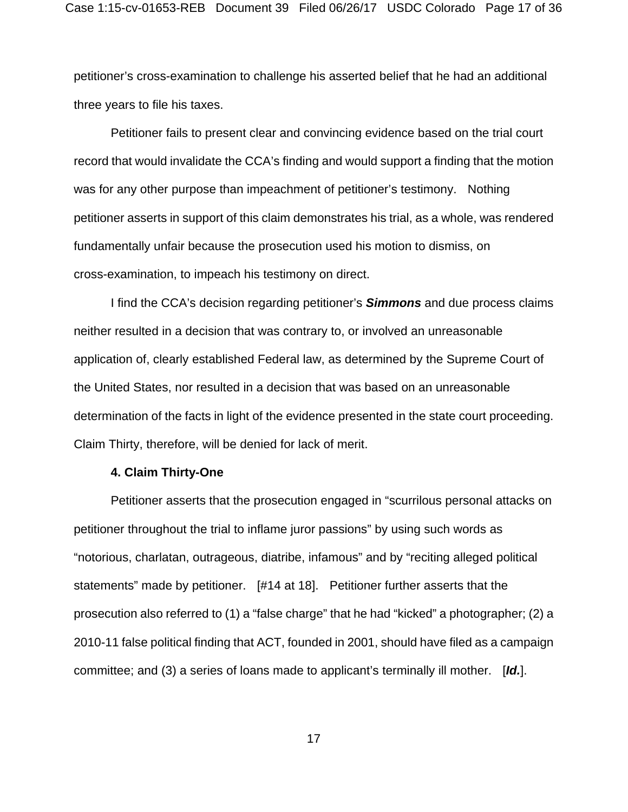petitioner's cross-examination to challenge his asserted belief that he had an additional three years to file his taxes.

 Petitioner fails to present clear and convincing evidence based on the trial court record that would invalidate the CCA's finding and would support a finding that the motion was for any other purpose than impeachment of petitioner's testimony. Nothing petitioner asserts in support of this claim demonstrates his trial, as a whole, was rendered fundamentally unfair because the prosecution used his motion to dismiss, on cross-examination, to impeach his testimony on direct.

 I find the CCA's decision regarding petitioner's *Simmons* and due process claims neither resulted in a decision that was contrary to, or involved an unreasonable application of, clearly established Federal law, as determined by the Supreme Court of the United States, nor resulted in a decision that was based on an unreasonable determination of the facts in light of the evidence presented in the state court proceeding. Claim Thirty, therefore, will be denied for lack of merit.

#### **4. Claim Thirty-One**

 Petitioner asserts that the prosecution engaged in "scurrilous personal attacks on petitioner throughout the trial to inflame juror passions" by using such words as "notorious, charlatan, outrageous, diatribe, infamous" and by "reciting alleged political statements" made by petitioner. [#14 at 18]. Petitioner further asserts that the prosecution also referred to (1) a "false charge" that he had "kicked" a photographer; (2) a 2010-11 false political finding that ACT, founded in 2001, should have filed as a campaign committee; and (3) a series of loans made to applicant's terminally ill mother. [*Id.*].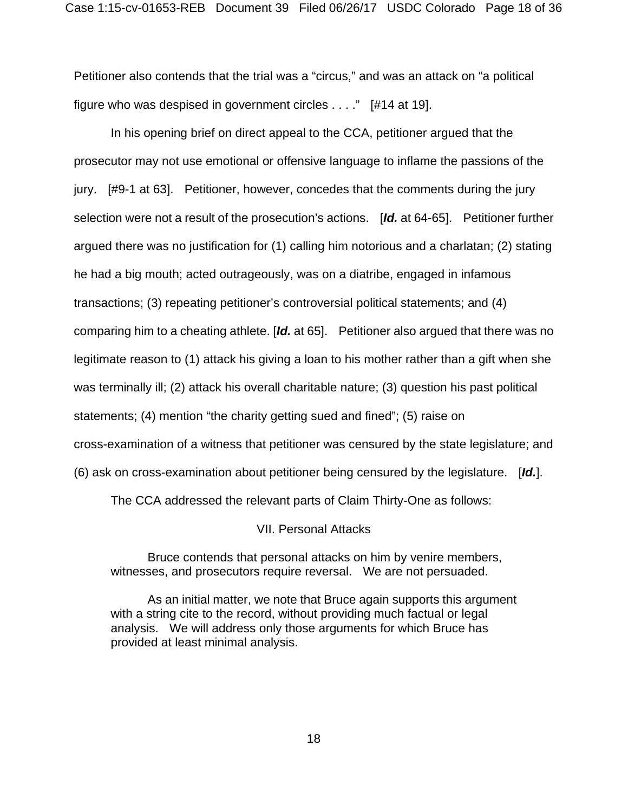Petitioner also contends that the trial was a "circus," and was an attack on "a political figure who was despised in government circles . . . ." [#14 at 19].

 In his opening brief on direct appeal to the CCA, petitioner argued that the prosecutor may not use emotional or offensive language to inflame the passions of the jury. [#9-1 at 63]. Petitioner, however, concedes that the comments during the jury selection were not a result of the prosecution's actions. [*Id.* at 64-65]. Petitioner further argued there was no justification for (1) calling him notorious and a charlatan; (2) stating he had a big mouth; acted outrageously, was on a diatribe, engaged in infamous transactions; (3) repeating petitioner's controversial political statements; and (4) comparing him to a cheating athlete. [*Id.* at 65]. Petitioner also argued that there was no legitimate reason to (1) attack his giving a loan to his mother rather than a gift when she was terminally ill; (2) attack his overall charitable nature; (3) question his past political statements; (4) mention "the charity getting sued and fined"; (5) raise on cross-examination of a witness that petitioner was censured by the state legislature; and (6) ask on cross-examination about petitioner being censured by the legislature. [*Id.*].

The CCA addressed the relevant parts of Claim Thirty-One as follows:

VII. Personal Attacks

 Bruce contends that personal attacks on him by venire members, witnesses, and prosecutors require reversal. We are not persuaded.

 As an initial matter, we note that Bruce again supports this argument with a string cite to the record, without providing much factual or legal analysis. We will address only those arguments for which Bruce has provided at least minimal analysis.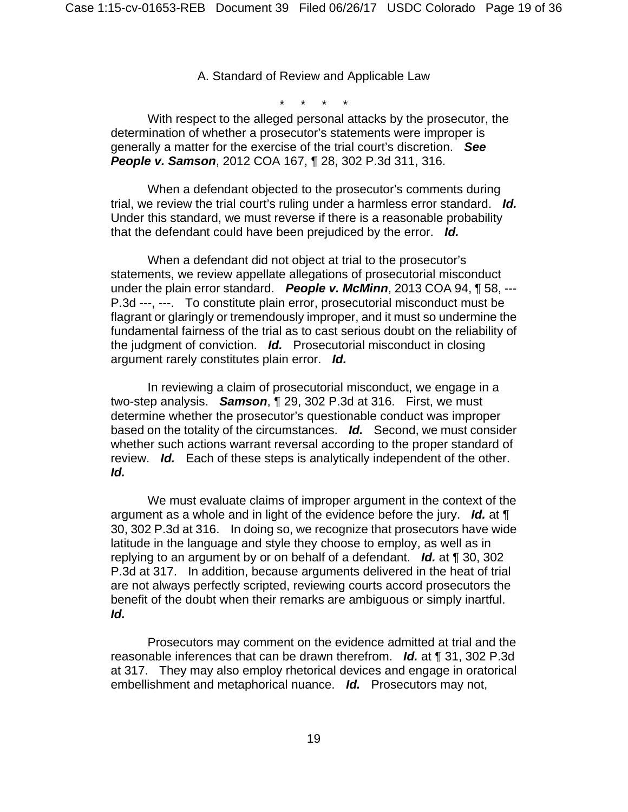A. Standard of Review and Applicable Law

\* \* \* \*

 With respect to the alleged personal attacks by the prosecutor, the determination of whether a prosecutor's statements were improper is generally a matter for the exercise of the trial court's discretion. *See People v. Samson*, 2012 COA 167, ¶ 28, 302 P.3d 311, 316.

 When a defendant objected to the prosecutor's comments during trial, we review the trial court's ruling under a harmless error standard. *Id.* Under this standard, we must reverse if there is a reasonable probability that the defendant could have been prejudiced by the error. *Id.*

 When a defendant did not object at trial to the prosecutor's statements, we review appellate allegations of prosecutorial misconduct under the plain error standard. *People v. McMinn*, 2013 COA 94, ¶ 58, --- P.3d ---, ---. To constitute plain error, prosecutorial misconduct must be flagrant or glaringly or tremendously improper, and it must so undermine the fundamental fairness of the trial as to cast serious doubt on the reliability of the judgment of conviction. *Id.* Prosecutorial misconduct in closing argument rarely constitutes plain error. *Id.* 

 In reviewing a claim of prosecutorial misconduct, we engage in a two-step analysis. *Samson*, ¶ 29, 302 P.3d at 316. First, we must determine whether the prosecutor's questionable conduct was improper based on the totality of the circumstances. *Id.* Second, we must consider whether such actions warrant reversal according to the proper standard of review. *Id.* Each of these steps is analytically independent of the other. *Id.* 

 We must evaluate claims of improper argument in the context of the argument as a whole and in light of the evidence before the jury. *Id.* at ¶ 30, 302 P.3d at 316. In doing so, we recognize that prosecutors have wide latitude in the language and style they choose to employ, as well as in replying to an argument by or on behalf of a defendant. *Id.* at ¶ 30, 302 P.3d at 317. In addition, because arguments delivered in the heat of trial are not always perfectly scripted, reviewing courts accord prosecutors the benefit of the doubt when their remarks are ambiguous or simply inartful. *Id.*

 Prosecutors may comment on the evidence admitted at trial and the reasonable inferences that can be drawn therefrom. *Id.* at ¶ 31, 302 P.3d at 317. They may also employ rhetorical devices and engage in oratorical embellishment and metaphorical nuance. *Id.* Prosecutors may not,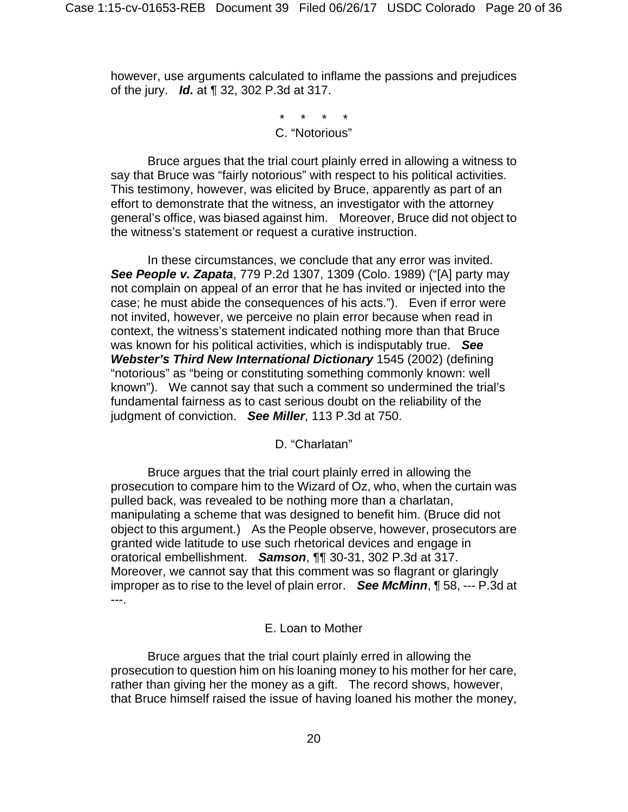however, use arguments calculated to inflame the passions and prejudices of the jury. *Id.* at ¶ 32, 302 P.3d at 317.

> \* \* \* \* C. "Notorious"

 Bruce argues that the trial court plainly erred in allowing a witness to say that Bruce was "fairly notorious" with respect to his political activities. This testimony, however, was elicited by Bruce, apparently as part of an effort to demonstrate that the witness, an investigator with the attorney general's office, was biased against him. Moreover, Bruce did not object to the witness's statement or request a curative instruction.

 In these circumstances, we conclude that any error was invited. *See People v. Zapata*, 779 P.2d 1307, 1309 (Colo. 1989) ("[A] party may not complain on appeal of an error that he has invited or injected into the case; he must abide the consequences of his acts."). Even if error were not invited, however, we perceive no plain error because when read in context, the witness's statement indicated nothing more than that Bruce was known for his political activities, which is indisputably true. *See Webster's Third New International Dictionary* 1545 (2002) (defining "notorious" as "being or constituting something commonly known: well known"). We cannot say that such a comment so undermined the trial's fundamental fairness as to cast serious doubt on the reliability of the judgment of conviction. *See Miller*, 113 P.3d at 750.

D. "Charlatan"

 Bruce argues that the trial court plainly erred in allowing the prosecution to compare him to the Wizard of Oz, who, when the curtain was pulled back, was revealed to be nothing more than a charlatan, manipulating a scheme that was designed to benefit him. (Bruce did not object to this argument.) As the People observe, however, prosecutors are granted wide latitude to use such rhetorical devices and engage in oratorical embellishment. *Samson*, ¶¶ 30-31, 302 P.3d at 317. Moreover, we cannot say that this comment was so flagrant or glaringly improper as to rise to the level of plain error. *See McMinn*, ¶ 58, --- P.3d at ---.

# E. Loan to Mother

 Bruce argues that the trial court plainly erred in allowing the prosecution to question him on his loaning money to his mother for her care, rather than giving her the money as a gift. The record shows, however, that Bruce himself raised the issue of having loaned his mother the money,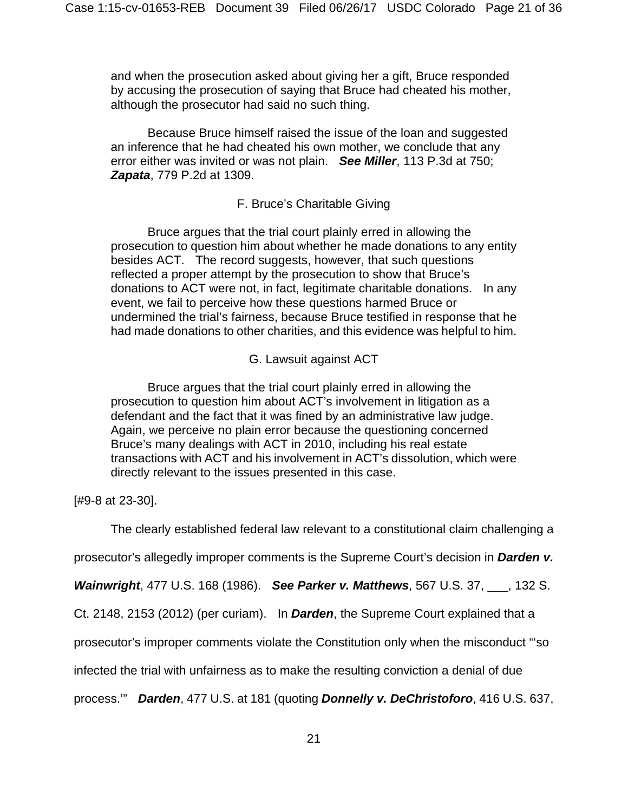and when the prosecution asked about giving her a gift, Bruce responded by accusing the prosecution of saying that Bruce had cheated his mother, although the prosecutor had said no such thing.

 Because Bruce himself raised the issue of the loan and suggested an inference that he had cheated his own mother, we conclude that any error either was invited or was not plain. *See Miller*, 113 P.3d at 750; *Zapata*, 779 P.2d at 1309.

# F. Bruce's Charitable Giving

 Bruce argues that the trial court plainly erred in allowing the prosecution to question him about whether he made donations to any entity besides ACT. The record suggests, however, that such questions reflected a proper attempt by the prosecution to show that Bruce's donations to ACT were not, in fact, legitimate charitable donations. In any event, we fail to perceive how these questions harmed Bruce or undermined the trial's fairness, because Bruce testified in response that he had made donations to other charities, and this evidence was helpful to him.

# G. Lawsuit against ACT

 Bruce argues that the trial court plainly erred in allowing the prosecution to question him about ACT's involvement in litigation as a defendant and the fact that it was fined by an administrative law judge. Again, we perceive no plain error because the questioning concerned Bruce's many dealings with ACT in 2010, including his real estate transactions with ACT and his involvement in ACT's dissolution, which were directly relevant to the issues presented in this case.

[#9-8 at 23-30].

The clearly established federal law relevant to a constitutional claim challenging a

prosecutor's allegedly improper comments is the Supreme Court's decision in *Darden v.* 

*Wainwright*, 477 U.S. 168 (1986). *See Parker v. Matthews*, 567 U.S. 37, \_\_\_, 132 S.

Ct. 2148, 2153 (2012) (per curiam). In *Darden*, the Supreme Court explained that a

prosecutor's improper comments violate the Constitution only when the misconduct "'so

infected the trial with unfairness as to make the resulting conviction a denial of due

process.'" *Darden*, 477 U.S. at 181 (quoting *Donnelly v. DeChristoforo*, 416 U.S. 637,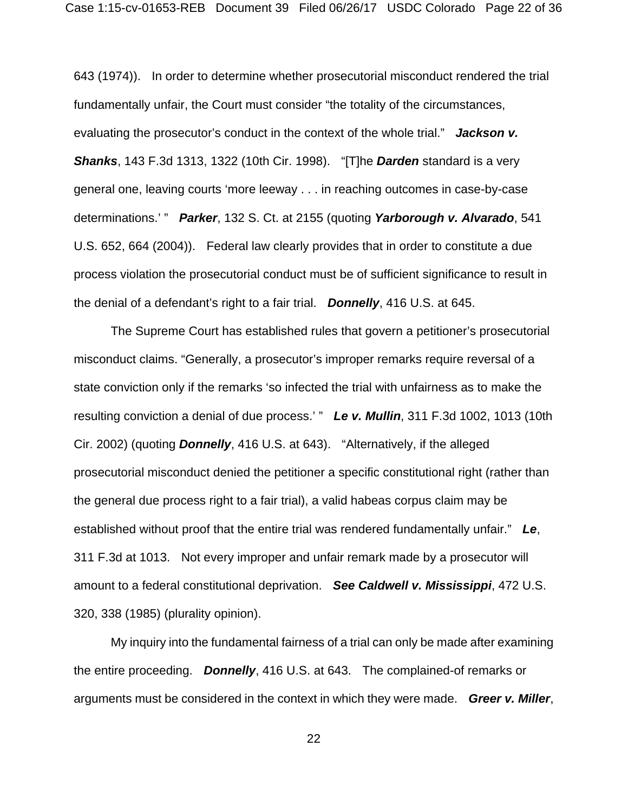643 (1974)). In order to determine whether prosecutorial misconduct rendered the trial fundamentally unfair, the Court must consider "the totality of the circumstances, evaluating the prosecutor's conduct in the context of the whole trial." *Jackson v. Shanks*, 143 F.3d 1313, 1322 (10th Cir. 1998). "[T]he *Darden* standard is a very general one, leaving courts 'more leeway . . . in reaching outcomes in case-by-case determinations.' " *Parker*, 132 S. Ct. at 2155 (quoting *Yarborough v. Alvarado*, 541 U.S. 652, 664 (2004)). Federal law clearly provides that in order to constitute a due process violation the prosecutorial conduct must be of sufficient significance to result in the denial of a defendant's right to a fair trial. *Donnelly*, 416 U.S. at 645.

 The Supreme Court has established rules that govern a petitioner's prosecutorial misconduct claims. "Generally, a prosecutor's improper remarks require reversal of a state conviction only if the remarks 'so infected the trial with unfairness as to make the resulting conviction a denial of due process.' " *Le v. Mullin*, 311 F.3d 1002, 1013 (10th Cir. 2002) (quoting *Donnelly*, 416 U.S. at 643). "Alternatively, if the alleged prosecutorial misconduct denied the petitioner a specific constitutional right (rather than the general due process right to a fair trial), a valid habeas corpus claim may be established without proof that the entire trial was rendered fundamentally unfair." *Le*, 311 F.3d at 1013. Not every improper and unfair remark made by a prosecutor will amount to a federal constitutional deprivation. *See Caldwell v. Mississippi*, 472 U.S. 320, 338 (1985) (plurality opinion).

 My inquiry into the fundamental fairness of a trial can only be made after examining the entire proceeding. *Donnelly*, 416 U.S. at 643. The complained-of remarks or arguments must be considered in the context in which they were made. *Greer v. Miller*,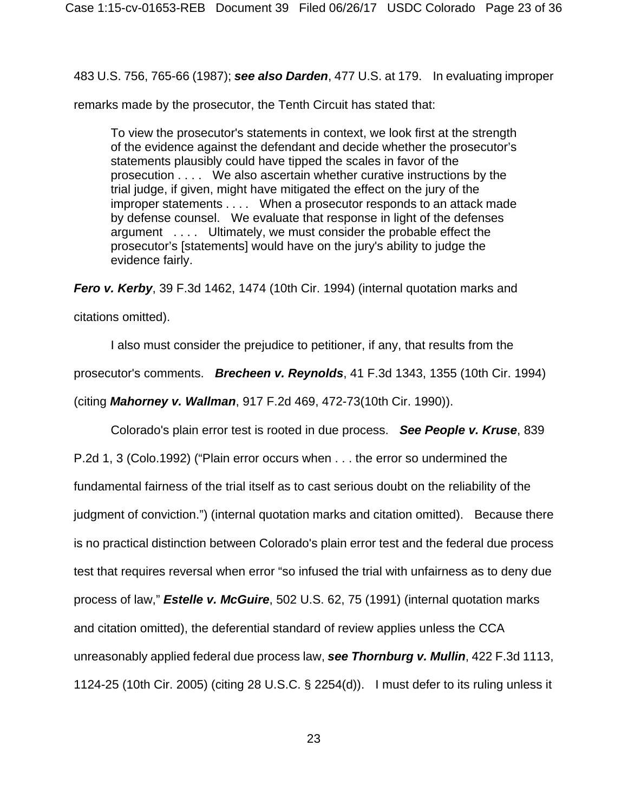483 U.S. 756, 765-66 (1987); *see also Darden*, 477 U.S. at 179. In evaluating improper

remarks made by the prosecutor, the Tenth Circuit has stated that:

To view the prosecutor's statements in context, we look first at the strength of the evidence against the defendant and decide whether the prosecutor's statements plausibly could have tipped the scales in favor of the prosecution . . . . We also ascertain whether curative instructions by the trial judge, if given, might have mitigated the effect on the jury of the improper statements . . . . When a prosecutor responds to an attack made by defense counsel. We evaluate that response in light of the defenses argument . . . . Ultimately, we must consider the probable effect the prosecutor's [statements] would have on the jury's ability to judge the evidence fairly.

*Fero v. Kerby*, 39 F.3d 1462, 1474 (10th Cir. 1994) (internal quotation marks and citations omitted).

 I also must consider the prejudice to petitioner, if any, that results from the prosecutor's comments. *Brecheen v. Reynolds*, 41 F.3d 1343, 1355 (10th Cir. 1994) (citing *Mahorney v. Wallman*, 917 F.2d 469, 472-73(10th Cir. 1990)).

 Colorado's plain error test is rooted in due process. *See People v. Kruse*, 839 P.2d 1, 3 (Colo.1992) ("Plain error occurs when . . . the error so undermined the fundamental fairness of the trial itself as to cast serious doubt on the reliability of the judgment of conviction.") (internal quotation marks and citation omitted). Because there is no practical distinction between Colorado's plain error test and the federal due process test that requires reversal when error "so infused the trial with unfairness as to deny due process of law," *Estelle v. McGuire*, 502 U.S. 62, 75 (1991) (internal quotation marks and citation omitted), the deferential standard of review applies unless the CCA unreasonably applied federal due process law, *see Thornburg v. Mullin*, 422 F.3d 1113, 1124-25 (10th Cir. 2005) (citing 28 U.S.C. § 2254(d)). I must defer to its ruling unless it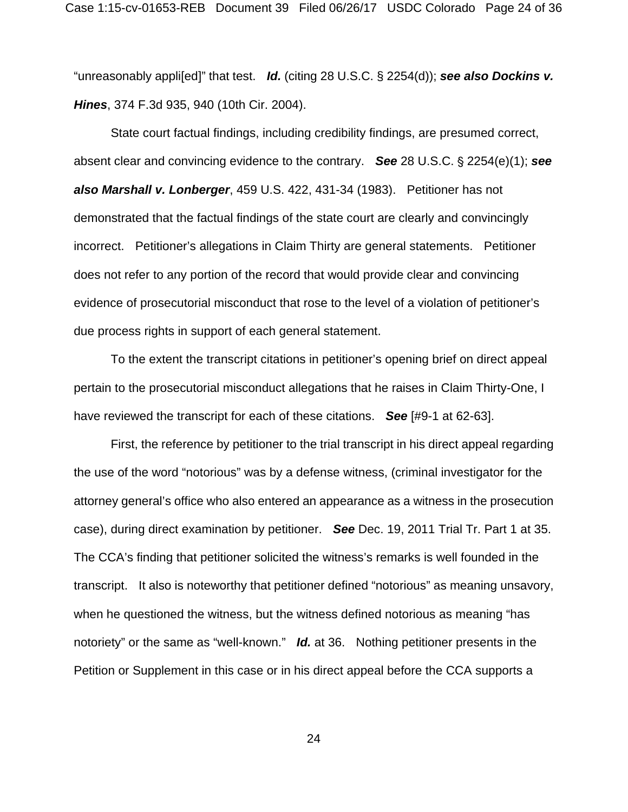"unreasonably appli[ed]" that test. *Id.* (citing 28 U.S.C. § 2254(d)); *see also Dockins v. Hines*, 374 F.3d 935, 940 (10th Cir. 2004).

 State court factual findings, including credibility findings, are presumed correct, absent clear and convincing evidence to the contrary. **See** 28 U.S.C. § 2254(e)(1); **see** *also Marshall v. Lonberger*, 459 U.S. 422, 431-34 (1983). Petitioner has not demonstrated that the factual findings of the state court are clearly and convincingly incorrect. Petitioner's allegations in Claim Thirty are general statements. Petitioner does not refer to any portion of the record that would provide clear and convincing evidence of prosecutorial misconduct that rose to the level of a violation of petitioner's due process rights in support of each general statement.

 To the extent the transcript citations in petitioner's opening brief on direct appeal pertain to the prosecutorial misconduct allegations that he raises in Claim Thirty-One, I have reviewed the transcript for each of these citations. *See* [#9-1 at 62-63].

 First, the reference by petitioner to the trial transcript in his direct appeal regarding the use of the word "notorious" was by a defense witness, (criminal investigator for the attorney general's office who also entered an appearance as a witness in the prosecution case), during direct examination by petitioner. *See* Dec. 19, 2011 Trial Tr. Part 1 at 35. The CCA's finding that petitioner solicited the witness's remarks is well founded in the transcript. It also is noteworthy that petitioner defined "notorious" as meaning unsavory, when he questioned the witness, but the witness defined notorious as meaning "has notoriety" or the same as "well-known." *Id.* at 36. Nothing petitioner presents in the Petition or Supplement in this case or in his direct appeal before the CCA supports a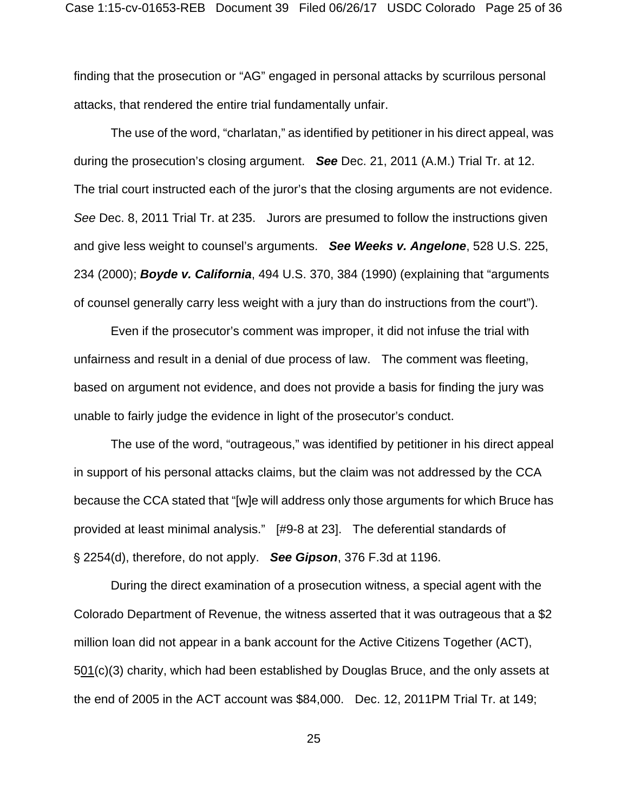finding that the prosecution or "AG" engaged in personal attacks by scurrilous personal attacks, that rendered the entire trial fundamentally unfair.

 The use of the word, "charlatan," as identified by petitioner in his direct appeal, was during the prosecution's closing argument. *See* Dec. 21, 2011 (A.M.) Trial Tr. at 12. The trial court instructed each of the juror's that the closing arguments are not evidence. *See* Dec. 8, 2011 Trial Tr. at 235. Jurors are presumed to follow the instructions given and give less weight to counsel's arguments. *See Weeks v. Angelone*, 528 U.S. 225, 234 (2000); *Boyde v. California*, 494 U.S. 370, 384 (1990) (explaining that "arguments of counsel generally carry less weight with a jury than do instructions from the court").

 Even if the prosecutor's comment was improper, it did not infuse the trial with unfairness and result in a denial of due process of law. The comment was fleeting, based on argument not evidence, and does not provide a basis for finding the jury was unable to fairly judge the evidence in light of the prosecutor's conduct.

 The use of the word, "outrageous," was identified by petitioner in his direct appeal in support of his personal attacks claims, but the claim was not addressed by the CCA because the CCA stated that "[w]e will address only those arguments for which Bruce has provided at least minimal analysis." [#9-8 at 23]. The deferential standards of ' 2254(d), therefore, do not apply. *See Gipson*, 376 F.3d at 1196.

 During the direct examination of a prosecution witness, a special agent with the Colorado Department of Revenue, the witness asserted that it was outrageous that a \$2 million loan did not appear in a bank account for the Active Citizens Together (ACT),  $501(c)(3)$  charity, which had been established by Douglas Bruce, and the only assets at the end of 2005 in the ACT account was \$84,000. Dec. 12, 2011PM Trial Tr. at 149;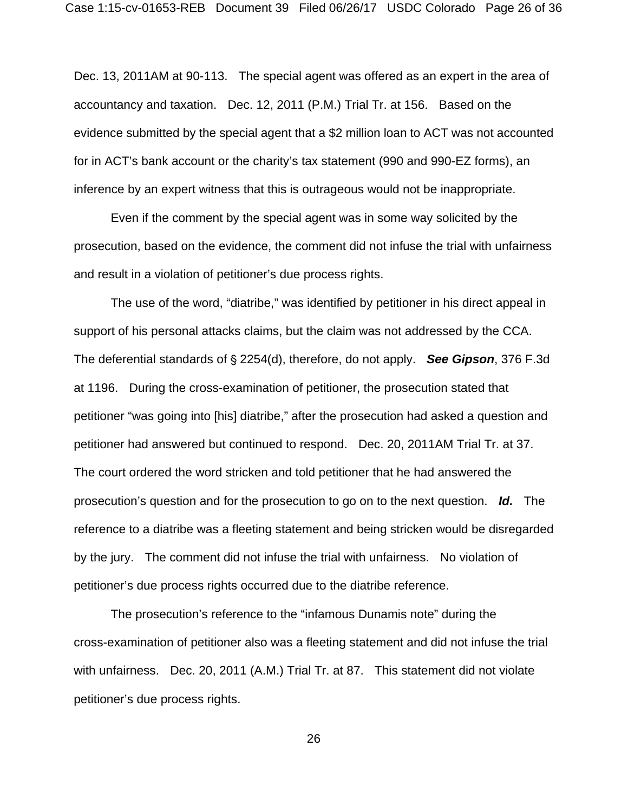Dec. 13, 2011AM at 90-113. The special agent was offered as an expert in the area of accountancy and taxation. Dec. 12, 2011 (P.M.) Trial Tr. at 156. Based on the evidence submitted by the special agent that a \$2 million loan to ACT was not accounted for in ACT's bank account or the charity's tax statement (990 and 990-EZ forms), an inference by an expert witness that this is outrageous would not be inappropriate.

 Even if the comment by the special agent was in some way solicited by the prosecution, based on the evidence, the comment did not infuse the trial with unfairness and result in a violation of petitioner's due process rights.

 The use of the word, "diatribe," was identified by petitioner in his direct appeal in support of his personal attacks claims, but the claim was not addressed by the CCA. The deferential standards of § 2254(d), therefore, do not apply. **See Gipson**, 376 F.3d at 1196. During the cross-examination of petitioner, the prosecution stated that petitioner "was going into [his] diatribe," after the prosecution had asked a question and petitioner had answered but continued to respond. Dec. 20, 2011AM Trial Tr. at 37. The court ordered the word stricken and told petitioner that he had answered the prosecution's question and for the prosecution to go on to the next question. *Id.* The reference to a diatribe was a fleeting statement and being stricken would be disregarded by the jury. The comment did not infuse the trial with unfairness. No violation of petitioner's due process rights occurred due to the diatribe reference.

 The prosecution's reference to the "infamous Dunamis note" during the cross-examination of petitioner also was a fleeting statement and did not infuse the trial with unfairness. Dec. 20, 2011 (A.M.) Trial Tr. at 87. This statement did not violate petitioner's due process rights.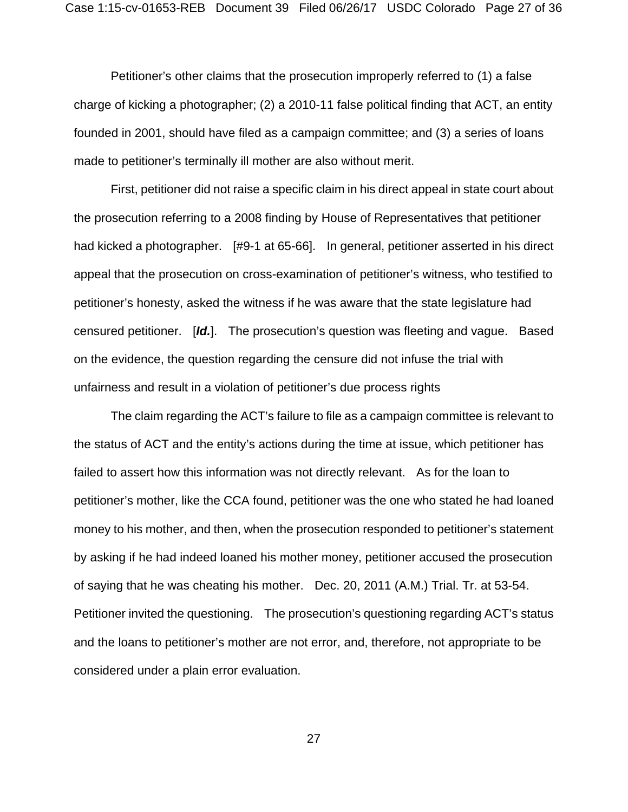Petitioner's other claims that the prosecution improperly referred to (1) a false charge of kicking a photographer; (2) a 2010-11 false political finding that ACT, an entity founded in 2001, should have filed as a campaign committee; and (3) a series of loans made to petitioner's terminally ill mother are also without merit.

 First, petitioner did not raise a specific claim in his direct appeal in state court about the prosecution referring to a 2008 finding by House of Representatives that petitioner had kicked a photographer. [#9-1 at 65-66]. In general, petitioner asserted in his direct appeal that the prosecution on cross-examination of petitioner's witness, who testified to petitioner's honesty, asked the witness if he was aware that the state legislature had censured petitioner. [*Id.*]. The prosecution's question was fleeting and vague. Based on the evidence, the question regarding the censure did not infuse the trial with unfairness and result in a violation of petitioner's due process rights

 The claim regarding the ACT's failure to file as a campaign committee is relevant to the status of ACT and the entity's actions during the time at issue, which petitioner has failed to assert how this information was not directly relevant. As for the loan to petitioner's mother, like the CCA found, petitioner was the one who stated he had loaned money to his mother, and then, when the prosecution responded to petitioner's statement by asking if he had indeed loaned his mother money, petitioner accused the prosecution of saying that he was cheating his mother. Dec. 20, 2011 (A.M.) Trial. Tr. at 53-54. Petitioner invited the questioning. The prosecution's questioning regarding ACT's status and the loans to petitioner's mother are not error, and, therefore, not appropriate to be considered under a plain error evaluation.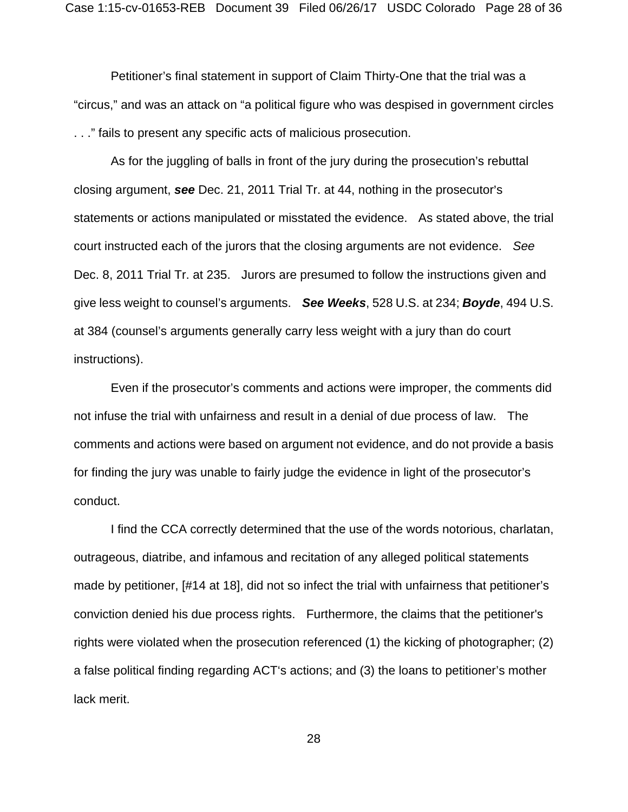Petitioner's final statement in support of Claim Thirty-One that the trial was a "circus," and was an attack on "a political figure who was despised in government circles . . ." fails to present any specific acts of malicious prosecution.

 As for the juggling of balls in front of the jury during the prosecution's rebuttal closing argument, **see** Dec. 21, 2011 Trial Tr. at 44, nothing in the prosecutor's statements or actions manipulated or misstated the evidence. As stated above, the trial court instructed each of the jurors that the closing arguments are not evidence. *See* Dec. 8, 2011 Trial Tr. at 235. Jurors are presumed to follow the instructions given and give less weight to counsel's arguments. *See Weeks*, 528 U.S. at 234; *Boyde*, 494 U.S. at 384 (counsel's arguments generally carry less weight with a jury than do court instructions).

 Even if the prosecutor's comments and actions were improper, the comments did not infuse the trial with unfairness and result in a denial of due process of law. The comments and actions were based on argument not evidence, and do not provide a basis for finding the jury was unable to fairly judge the evidence in light of the prosecutor's conduct.

 I find the CCA correctly determined that the use of the words notorious, charlatan, outrageous, diatribe, and infamous and recitation of any alleged political statements made by petitioner, [#14 at 18], did not so infect the trial with unfairness that petitioner's conviction denied his due process rights. Furthermore, the claims that the petitioner's rights were violated when the prosecution referenced (1) the kicking of photographer; (2) a false political finding regarding ACT's actions; and (3) the loans to petitioner's mother lack merit.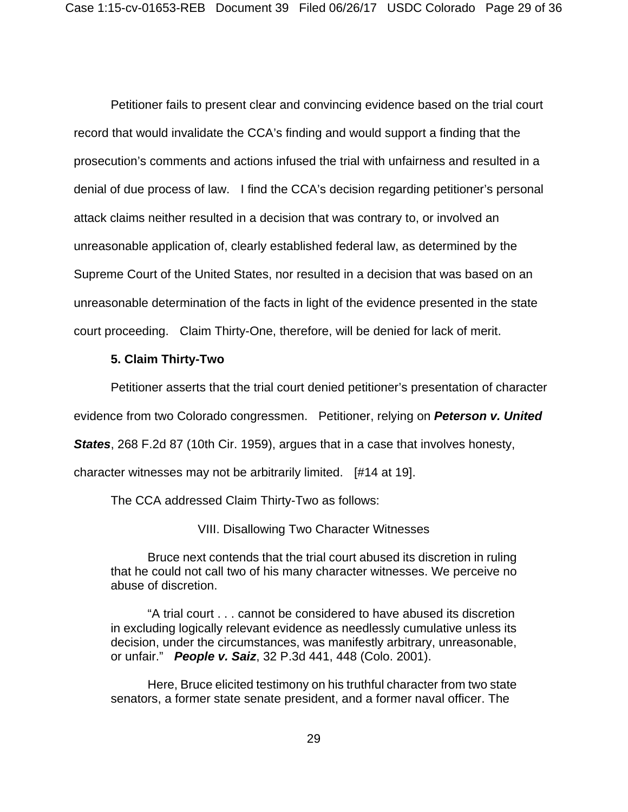Petitioner fails to present clear and convincing evidence based on the trial court record that would invalidate the CCA's finding and would support a finding that the prosecution's comments and actions infused the trial with unfairness and resulted in a denial of due process of law. I find the CCA's decision regarding petitioner's personal attack claims neither resulted in a decision that was contrary to, or involved an unreasonable application of, clearly established federal law, as determined by the Supreme Court of the United States, nor resulted in a decision that was based on an unreasonable determination of the facts in light of the evidence presented in the state court proceeding. Claim Thirty-One, therefore, will be denied for lack of merit.

### **5. Claim Thirty-Two**

Petitioner asserts that the trial court denied petitioner's presentation of character

evidence from two Colorado congressmen. Petitioner, relying on *Peterson v. United* 

*States*, 268 F.2d 87 (10th Cir. 1959), argues that in a case that involves honesty,

character witnesses may not be arbitrarily limited. [#14 at 19].

The CCA addressed Claim Thirty-Two as follows:

VIII. Disallowing Two Character Witnesses

 Bruce next contends that the trial court abused its discretion in ruling that he could not call two of his many character witnesses. We perceive no abuse of discretion.

 "A trial court . . . cannot be considered to have abused its discretion in excluding logically relevant evidence as needlessly cumulative unless its decision, under the circumstances, was manifestly arbitrary, unreasonable, or unfair." *People v. Saiz*, 32 P.3d 441, 448 (Colo. 2001).

 Here, Bruce elicited testimony on his truthful character from two state senators, a former state senate president, and a former naval officer. The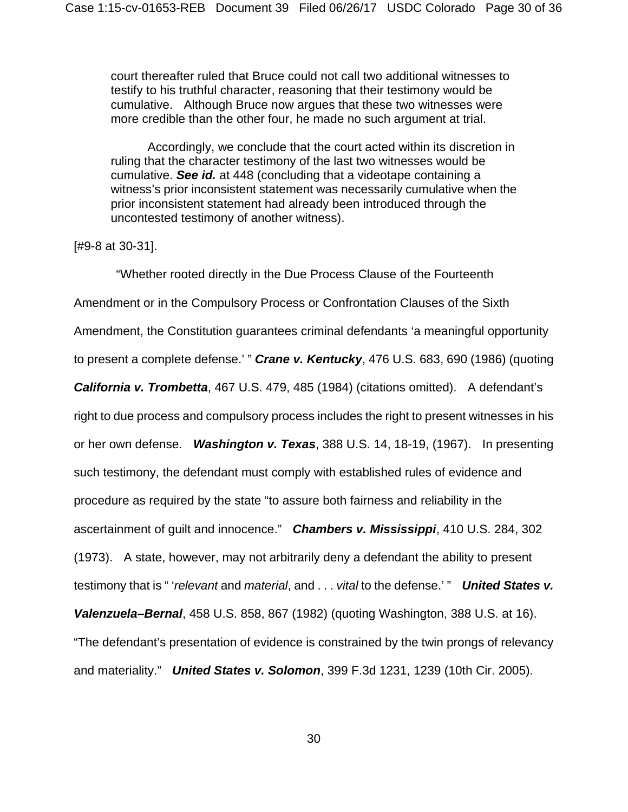court thereafter ruled that Bruce could not call two additional witnesses to testify to his truthful character, reasoning that their testimony would be cumulative. Although Bruce now argues that these two witnesses were more credible than the other four, he made no such argument at trial.

 Accordingly, we conclude that the court acted within its discretion in ruling that the character testimony of the last two witnesses would be cumulative. *See id.* at 448 (concluding that a videotape containing a witness's prior inconsistent statement was necessarily cumulative when the prior inconsistent statement had already been introduced through the uncontested testimony of another witness).

[#9-8 at 30-31].

 "Whether rooted directly in the Due Process Clause of the Fourteenth Amendment or in the Compulsory Process or Confrontation Clauses of the Sixth Amendment, the Constitution guarantees criminal defendants 'a meaningful opportunity to present a complete defense.' " *Crane v. Kentucky*, 476 U.S. 683, 690 (1986) (quoting *California v. Trombetta*, 467 U.S. 479, 485 (1984) (citations omitted). A defendant's right to due process and compulsory process includes the right to present witnesses in his or her own defense. *Washington v. Texas*, 388 U.S. 14, 18-19, (1967). In presenting such testimony, the defendant must comply with established rules of evidence and procedure as required by the state "to assure both fairness and reliability in the ascertainment of guilt and innocence." *Chambers v. Mississippi*, 410 U.S. 284, 302 (1973). A state, however, may not arbitrarily deny a defendant the ability to present testimony that is " '*relevant* and *material*, and . . . *vital* to the defense.' " *United States v. Valenzuela–Bernal*, 458 U.S. 858, 867 (1982) (quoting Washington, 388 U.S. at 16). "The defendant's presentation of evidence is constrained by the twin prongs of relevancy and materiality." *United States v. Solomon*, 399 F.3d 1231, 1239 (10th Cir. 2005).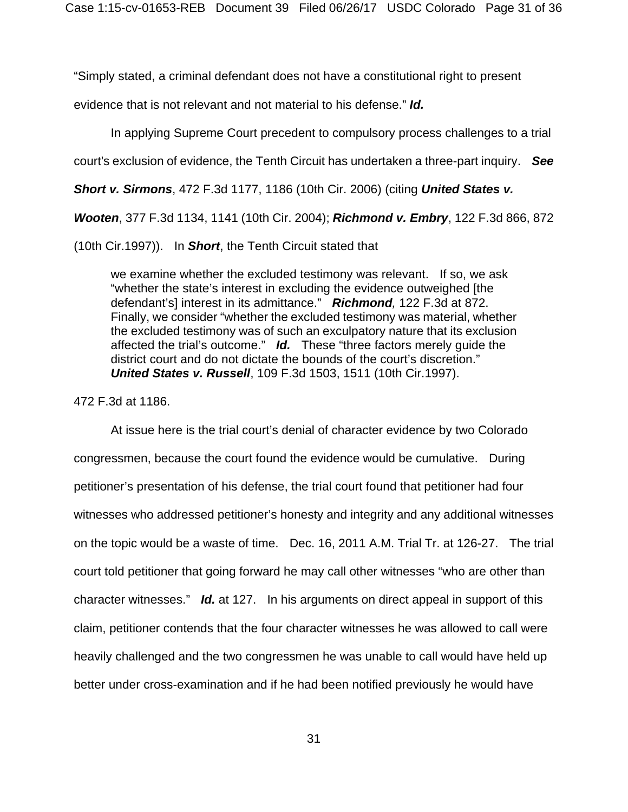"Simply stated, a criminal defendant does not have a constitutional right to present

evidence that is not relevant and not material to his defense." *Id.*

In applying Supreme Court precedent to compulsory process challenges to a trial

court's exclusion of evidence, the Tenth Circuit has undertaken a three-part inquiry. *See*

*Short v. Sirmons*, 472 F.3d 1177, 1186 (10th Cir. 2006) (citing *United States v.* 

*Wooten*, 377 F.3d 1134, 1141 (10th Cir. 2004); *Richmond v. Embry*, 122 F.3d 866, 872

(10th Cir.1997)). In *Short*, the Tenth Circuit stated that

we examine whether the excluded testimony was relevant. If so, we ask "whether the state's interest in excluding the evidence outweighed [the defendant's] interest in its admittance." *Richmond,* 122 F.3d at 872. Finally, we consider "whether the excluded testimony was material, whether the excluded testimony was of such an exculpatory nature that its exclusion affected the trial's outcome." *Id.* These "three factors merely guide the district court and do not dictate the bounds of the court's discretion." *United States v. Russell*, 109 F.3d 1503, 1511 (10th Cir.1997).

472 F.3d at 1186.

 At issue here is the trial court's denial of character evidence by two Colorado congressmen, because the court found the evidence would be cumulative. During petitioner's presentation of his defense, the trial court found that petitioner had four witnesses who addressed petitioner's honesty and integrity and any additional witnesses on the topic would be a waste of time. Dec. 16, 2011 A.M. Trial Tr. at 126-27. The trial court told petitioner that going forward he may call other witnesses "who are other than character witnesses." *Id.* at 127. In his arguments on direct appeal in support of this claim, petitioner contends that the four character witnesses he was allowed to call were heavily challenged and the two congressmen he was unable to call would have held up better under cross-examination and if he had been notified previously he would have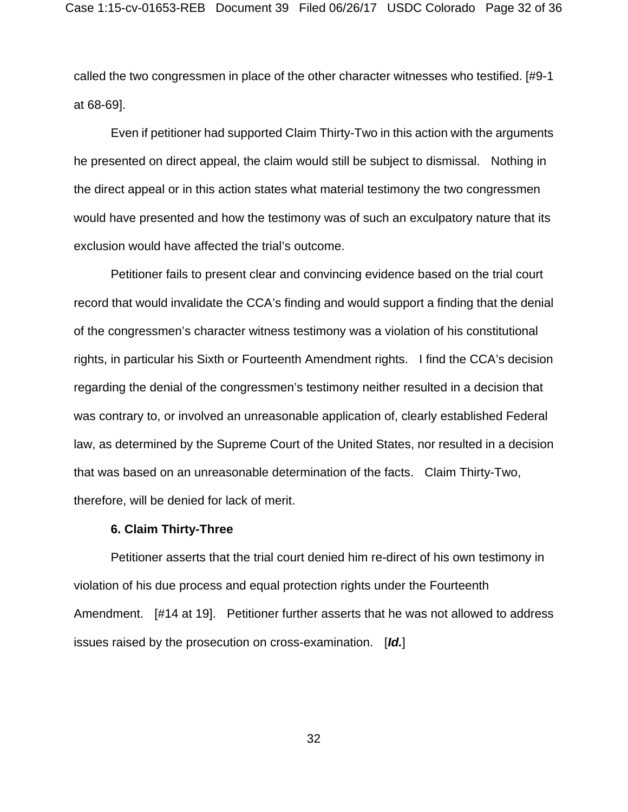called the two congressmen in place of the other character witnesses who testified. [#9-1 at 68-69].

 Even if petitioner had supported Claim Thirty-Two in this action with the arguments he presented on direct appeal, the claim would still be subject to dismissal. Nothing in the direct appeal or in this action states what material testimony the two congressmen would have presented and how the testimony was of such an exculpatory nature that its exclusion would have affected the trial's outcome.

 Petitioner fails to present clear and convincing evidence based on the trial court record that would invalidate the CCA's finding and would support a finding that the denial of the congressmen's character witness testimony was a violation of his constitutional rights, in particular his Sixth or Fourteenth Amendment rights. I find the CCA's decision regarding the denial of the congressmen's testimony neither resulted in a decision that was contrary to, or involved an unreasonable application of, clearly established Federal law, as determined by the Supreme Court of the United States, nor resulted in a decision that was based on an unreasonable determination of the facts. Claim Thirty-Two, therefore, will be denied for lack of merit.

#### **6. Claim Thirty-Three**

 Petitioner asserts that the trial court denied him re-direct of his own testimony in violation of his due process and equal protection rights under the Fourteenth Amendment. [#14 at 19]. Petitioner further asserts that he was not allowed to address issues raised by the prosecution on cross-examination. [*Id.*]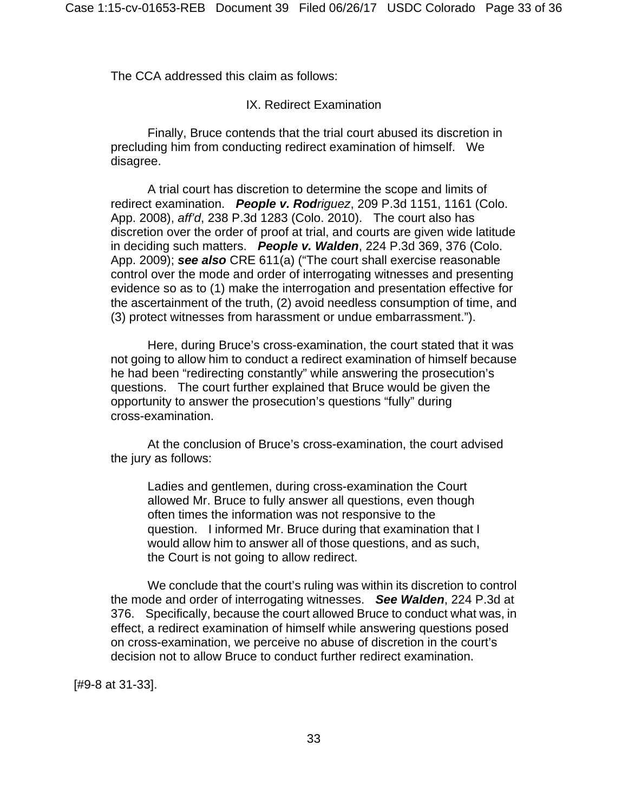The CCA addressed this claim as follows:

### IX. Redirect Examination

 Finally, Bruce contends that the trial court abused its discretion in precluding him from conducting redirect examination of himself. We disagree.

 A trial court has discretion to determine the scope and limits of redirect examination. *People v. Rodriguez*, 209 P.3d 1151, 1161 (Colo. App. 2008), *aff'd*, 238 P.3d 1283 (Colo. 2010). The court also has discretion over the order of proof at trial, and courts are given wide latitude in deciding such matters. *People v. Walden*, 224 P.3d 369, 376 (Colo. App. 2009); *see also* CRE 611(a) ("The court shall exercise reasonable control over the mode and order of interrogating witnesses and presenting evidence so as to (1) make the interrogation and presentation effective for the ascertainment of the truth, (2) avoid needless consumption of time, and (3) protect witnesses from harassment or undue embarrassment.").

 Here, during Bruce's cross-examination, the court stated that it was not going to allow him to conduct a redirect examination of himself because he had been "redirecting constantly" while answering the prosecution's questions. The court further explained that Bruce would be given the opportunity to answer the prosecution's questions "fully" during cross-examination.

 At the conclusion of Bruce's cross-examination, the court advised the jury as follows:

Ladies and gentlemen, during cross-examination the Court allowed Mr. Bruce to fully answer all questions, even though often times the information was not responsive to the question. I informed Mr. Bruce during that examination that I would allow him to answer all of those questions, and as such, the Court is not going to allow redirect.

 We conclude that the court's ruling was within its discretion to control the mode and order of interrogating witnesses. *See Walden*, 224 P.3d at 376. Specifically, because the court allowed Bruce to conduct what was, in effect, a redirect examination of himself while answering questions posed on cross-examination, we perceive no abuse of discretion in the court's decision not to allow Bruce to conduct further redirect examination.

[#9-8 at 31-33].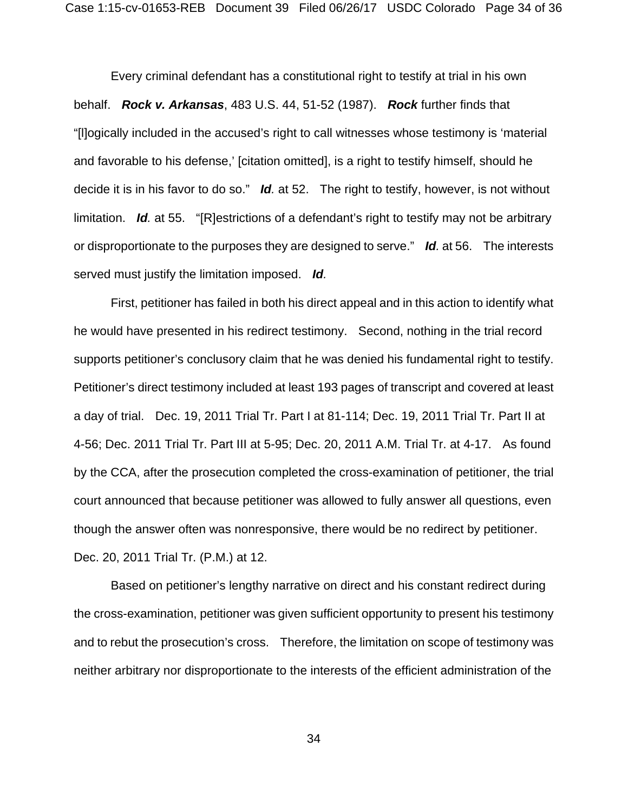Every criminal defendant has a constitutional right to testify at trial in his own behalf. *Rock v. Arkansas*, 483 U.S. 44, 51-52 (1987). *Rock* further finds that "[l]ogically included in the accused's right to call witnesses whose testimony is 'material and favorable to his defense,' [citation omitted], is a right to testify himself, should he decide it is in his favor to do so." *Id.* at 52. The right to testify, however, is not without limitation. *Id.* at 55. "[R]estrictions of a defendant's right to testify may not be arbitrary or disproportionate to the purposes they are designed to serve." *Id.* at 56. The interests served must justify the limitation imposed. *Id.*

 First, petitioner has failed in both his direct appeal and in this action to identify what he would have presented in his redirect testimony. Second, nothing in the trial record supports petitioner's conclusory claim that he was denied his fundamental right to testify. Petitioner's direct testimony included at least 193 pages of transcript and covered at least a day of trial. Dec. 19, 2011 Trial Tr. Part I at 81-114; Dec. 19, 2011 Trial Tr. Part II at 4-56; Dec. 2011 Trial Tr. Part III at 5-95; Dec. 20, 2011 A.M. Trial Tr. at 4-17. As found by the CCA, after the prosecution completed the cross-examination of petitioner, the trial court announced that because petitioner was allowed to fully answer all questions, even though the answer often was nonresponsive, there would be no redirect by petitioner. Dec. 20, 2011 Trial Tr. (P.M.) at 12.

 Based on petitioner's lengthy narrative on direct and his constant redirect during the cross-examination, petitioner was given sufficient opportunity to present his testimony and to rebut the prosecution's cross. Therefore, the limitation on scope of testimony was neither arbitrary nor disproportionate to the interests of the efficient administration of the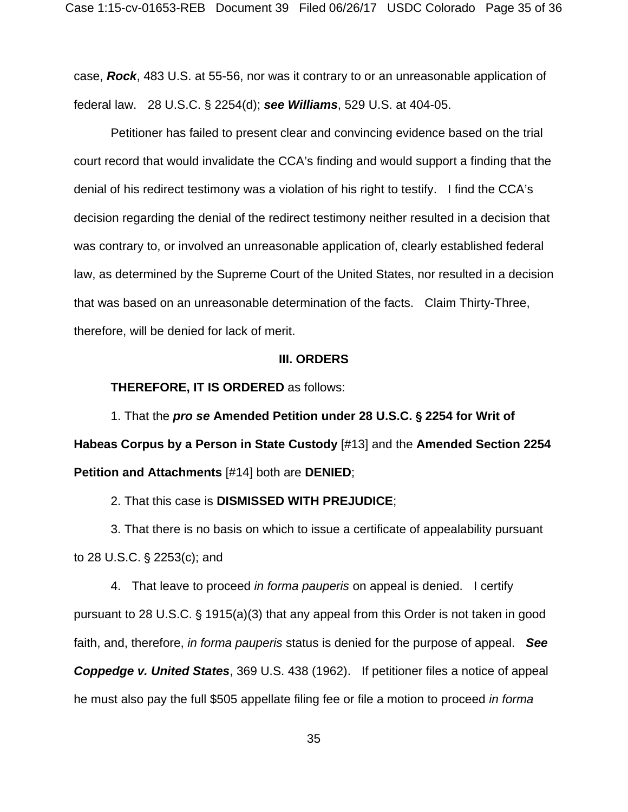case, *Rock*, 483 U.S. at 55-56, nor was it contrary to or an unreasonable application of federal law. 28 U.S.C. § 2254(d); *see Williams*, 529 U.S. at 404-05.

 Petitioner has failed to present clear and convincing evidence based on the trial court record that would invalidate the CCA's finding and would support a finding that the denial of his redirect testimony was a violation of his right to testify. I find the CCA's decision regarding the denial of the redirect testimony neither resulted in a decision that was contrary to, or involved an unreasonable application of, clearly established federal law, as determined by the Supreme Court of the United States, nor resulted in a decision that was based on an unreasonable determination of the facts. Claim Thirty-Three, therefore, will be denied for lack of merit.

#### **III. ORDERS**

#### **THEREFORE, IT IS ORDERED** as follows:

1. That the *pro se* **Amended Petition under 28 U.S.C.** ' **2254 for Writ of Habeas Corpus by a Person in State Custody** [#13] and the **Amended Section 2254 Petition and Attachments** [#14] both are **DENIED**;

2. That this case is **DISMISSED WITH PREJUDICE**;

3. That there is no basis on which to issue a certificate of appealability pursuant to 28 U.S.C.  $\S$  2253(c); and

4. That leave to proceed *in forma pauperis* on appeal is denied. I certify pursuant to 28 U.S.C.  $\S$  1915(a)(3) that any appeal from this Order is not taken in good faith, and, therefore, *in forma pauperis* status is denied for the purpose of appeal. *See Coppedge v. United States*, 369 U.S. 438 (1962). If petitioner files a notice of appeal

he must also pay the full \$505 appellate filing fee or file a motion to proceed *in forma*